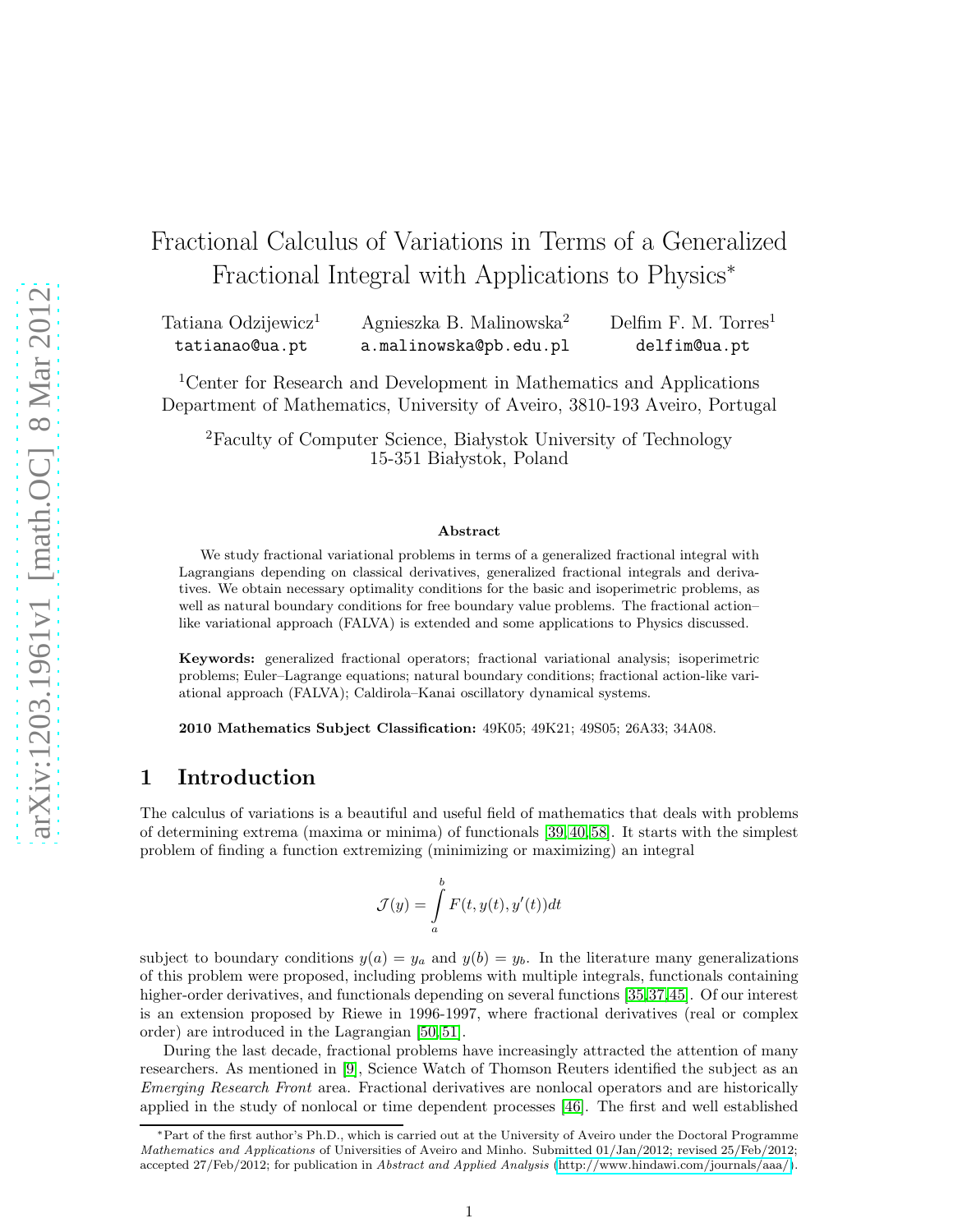# Fractional Calculus of Variations in Terms of a Generalized Fractional Integral with Applications to Physics<sup>∗</sup>

Tatiana Odzijewicz<sup>1</sup> tatianao@ua.pt Agnieszka B. Malinowska<sup>2</sup> a.malinowska@pb.edu.pl Delfim F. M. Torres<sup>1</sup> delfim@ua.pt

<sup>1</sup>Center for Research and Development in Mathematics and Applications Department of Mathematics, University of Aveiro, 3810-193 Aveiro, Portugal

<sup>2</sup>Faculty of Computer Science, Białystok University of Technology 15-351 Białystok, Poland

#### Abstract

We study fractional variational problems in terms of a generalized fractional integral with Lagrangians depending on classical derivatives, generalized fractional integrals and derivatives. We obtain necessary optimality conditions for the basic and isoperimetric problems, as well as natural boundary conditions for free boundary value problems. The fractional action– like variational approach (FALVA) is extended and some applications to Physics discussed.

Keywords: generalized fractional operators; fractional variational analysis; isoperimetric problems; Euler–Lagrange equations; natural boundary conditions; fractional action-like variational approach (FALVA); Caldirola–Kanai oscillatory dynamical systems.

2010 Mathematics Subject Classification: 49K05; 49K21; 49S05; 26A33; 34A08.

## 1 Introduction

The calculus of variations is a beautiful and useful field of mathematics that deals with problems of determining extrema (maxima or minima) of functionals [\[39,](#page-18-0) [40,](#page-18-1) [58\]](#page-19-0). It starts with the simplest problem of finding a function extremizing (minimizing or maximizing) an integral

$$
\mathcal{J}(y) = \int_{a}^{b} F(t, y(t), y'(t))dt
$$

subject to boundary conditions  $y(a) = y_a$  and  $y(b) = y_b$ . In the literature many generalizations of this problem were proposed, including problems with multiple integrals, functionals containing higher-order derivatives, and functionals depending on several functions [\[35,](#page-18-2)[37,](#page-18-3)[45\]](#page-18-4). Of our interest is an extension proposed by Riewe in 1996-1997, where fractional derivatives (real or complex order) are introduced in the Lagrangian [\[50,](#page-19-1) [51\]](#page-19-2).

During the last decade, fractional problems have increasingly attracted the attention of many researchers. As mentioned in [\[9\]](#page-16-0), Science Watch of Thomson Reuters identified the subject as an Emerging Research Front area. Fractional derivatives are nonlocal operators and are historically applied in the study of nonlocal or time dependent processes [\[46\]](#page-18-5). The first and well established

<sup>∗</sup>Part of the first author's Ph.D., which is carried out at the University of Aveiro under the Doctoral Programme Mathematics and Applications of Universities of Aveiro and Minho. Submitted 01/Jan/2012; revised 25/Feb/2012; accepted 27/Feb/2012; for publication in Abstract and Applied Analysis [\(http://www.hindawi.com/journals/aaa/\)](http://www.hindawi.com/journals/aaa/).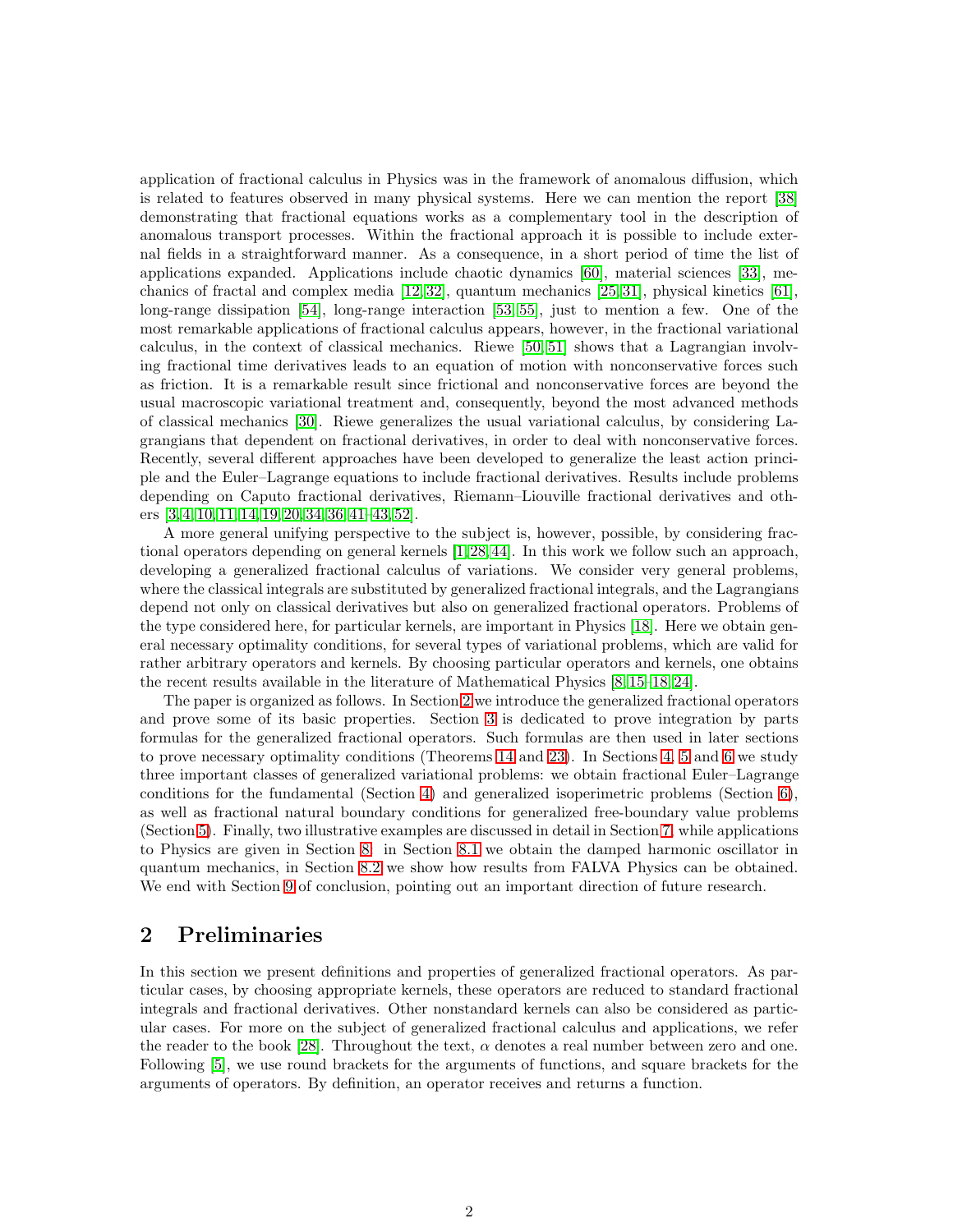application of fractional calculus in Physics was in the framework of anomalous diffusion, which is related to features observed in many physical systems. Here we can mention the report [\[38\]](#page-18-6) demonstrating that fractional equations works as a complementary tool in the description of anomalous transport processes. Within the fractional approach it is possible to include external fields in a straightforward manner. As a consequence, in a short period of time the list of applications expanded. Applications include chaotic dynamics [\[60\]](#page-19-3), material sciences [\[33\]](#page-18-7), mechanics of fractal and complex media [\[12,](#page-17-0) [32\]](#page-18-8), quantum mechanics [\[25,](#page-17-1) [31\]](#page-17-2), physical kinetics [\[61\]](#page-19-4), long-range dissipation [\[54\]](#page-19-5), long-range interaction [\[53,](#page-19-6) [55\]](#page-19-7), just to mention a few. One of the most remarkable applications of fractional calculus appears, however, in the fractional variational calculus, in the context of classical mechanics. Riewe [\[50,](#page-19-1) [51\]](#page-19-2) shows that a Lagrangian involving fractional time derivatives leads to an equation of motion with nonconservative forces such as friction. It is a remarkable result since frictional and nonconservative forces are beyond the usual macroscopic variational treatment and, consequently, beyond the most advanced methods of classical mechanics [\[30\]](#page-17-3). Riewe generalizes the usual variational calculus, by considering Lagrangians that dependent on fractional derivatives, in order to deal with nonconservative forces. Recently, several different approaches have been developed to generalize the least action principle and the Euler–Lagrange equations to include fractional derivatives. Results include problems depending on Caputo fractional derivatives, Riemann–Liouville fractional derivatives and others [\[3,](#page-16-1) [4,](#page-16-2) [10,](#page-16-3) [11,](#page-16-4) [14,](#page-17-4) [19,](#page-17-5) [20,](#page-17-6) [34,](#page-18-9) [36,](#page-18-10) [41–](#page-18-11)[43,](#page-18-12) [52\]](#page-19-8).

A more general unifying perspective to the subject is, however, possible, by considering fractional operators depending on general kernels [\[1,](#page-16-5) [28,](#page-17-7) [44\]](#page-18-13). In this work we follow such an approach, developing a generalized fractional calculus of variations. We consider very general problems, where the classical integrals are substituted by generalized fractional integrals, and the Lagrangians depend not only on classical derivatives but also on generalized fractional operators. Problems of the type considered here, for particular kernels, are important in Physics [\[18\]](#page-17-8). Here we obtain general necessary optimality conditions, for several types of variational problems, which are valid for rather arbitrary operators and kernels. By choosing particular operators and kernels, one obtains the recent results available in the literature of Mathematical Physics [\[8,](#page-16-6) [15](#page-17-9)[–18,](#page-17-8) [24\]](#page-17-10).

The paper is organized as follows. In Section [2](#page-1-0) we introduce the generalized fractional operators and prove some of its basic properties. Section [3](#page-4-0) is dedicated to prove integration by parts formulas for the generalized fractional operators. Such formulas are then used in later sections to prove necessary optimality conditions (Theorems [14](#page-6-0) and [23\)](#page-10-0). In Sections [4,](#page-6-1) [5](#page-8-0) and [6](#page-10-1) we study three important classes of generalized variational problems: we obtain fractional Euler–Lagrange conditions for the fundamental (Section [4\)](#page-6-1) and generalized isoperimetric problems (Section [6\)](#page-10-1), as well as fractional natural boundary conditions for generalized free-boundary value problems (Section [5\)](#page-8-0). Finally, two illustrative examples are discussed in detail in Section [7,](#page-12-0) while applications to Physics are given in Section [8:](#page-14-0) in Section [8.1](#page-14-1) we obtain the damped harmonic oscillator in quantum mechanics, in Section [8.2](#page-14-2) we show how results from FALVA Physics can be obtained. We end with Section [9](#page-15-0) of conclusion, pointing out an important direction of future research.

# <span id="page-1-0"></span>2 Preliminaries

In this section we present definitions and properties of generalized fractional operators. As particular cases, by choosing appropriate kernels, these operators are reduced to standard fractional integrals and fractional derivatives. Other nonstandard kernels can also be considered as particular cases. For more on the subject of generalized fractional calculus and applications, we refer the reader to the book [\[28\]](#page-17-7). Throughout the text,  $\alpha$  denotes a real number between zero and one. Following [\[5\]](#page-16-7), we use round brackets for the arguments of functions, and square brackets for the arguments of operators. By definition, an operator receives and returns a function.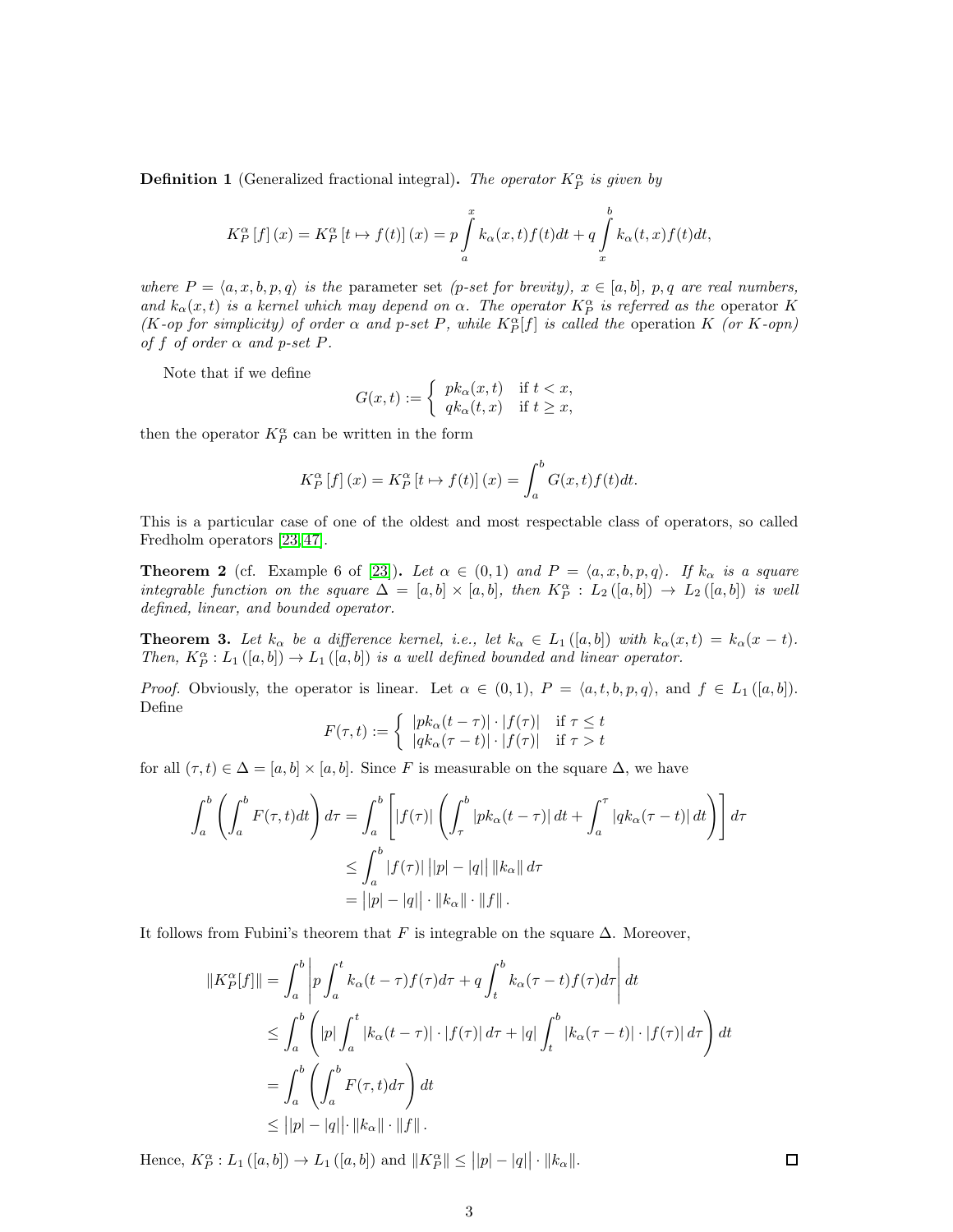**Definition 1** (Generalized fractional integral). The operator  $K_P^{\alpha}$  is given by

$$
K_P^{\alpha}[f](x) = K_P^{\alpha}[t \mapsto f(t)](x) = p \int_a^x k_{\alpha}(x,t) f(t) dt + q \int_x^b k_{\alpha}(t,x) f(t) dt,
$$

where  $P = \langle a, x, b, p, q \rangle$  is the parameter set (p-set for brevity),  $x \in [a, b]$ , p, q are real numbers, and  $k_{\alpha}(x,t)$  is a kernel which may depend on  $\alpha$ . The operator  $K_P^{\alpha}$  is referred as the operator K (K-op for simplicity) of order  $\alpha$  and p-set P, while  $K^{\alpha}_{P}[f]$  is called the operation K (or K-opn) of f of order  $\alpha$  and p-set P.

Note that if we define

$$
G(x,t) := \begin{cases} pk_{\alpha}(x,t) & \text{if } t < x, \\ qk_{\alpha}(t,x) & \text{if } t \geq x, \end{cases}
$$

then the operator  $K_P^{\alpha}$  can be written in the form

$$
K_P^{\alpha}[f](x) = K_P^{\alpha}[t \mapsto f(t)](x) = \int_a^b G(x,t)f(t)dt.
$$

This is a particular case of one of the oldest and most respectable class of operators, so called Fredholm operators [\[23,](#page-17-11) [47\]](#page-18-14).

**Theorem 2** (cf. Example 6 of [\[23\]](#page-17-11)). Let  $\alpha \in (0,1)$  and  $P = \langle a, x, b, p, q \rangle$ . If  $k_{\alpha}$  is a square integrable function on the square  $\Delta = [a, b] \times [a, b]$ , then  $K_P^{\alpha} : L_2([a, b]) \to L_2([a, b])$  is well defined, linear, and bounded operator.

**Theorem 3.** Let  $k_{\alpha}$  be a difference kernel, i.e., let  $k_{\alpha} \in L_1([a,b])$  with  $k_{\alpha}(x,t) = k_{\alpha}(x-t)$ . Then,  $K_P^{\alpha}: L_1([a,b]) \to L_1([a,b])$  is a well defined bounded and linear operator.

*Proof.* Obviously, the operator is linear. Let  $\alpha \in (0,1)$ ,  $P = \langle a, t, b, p, q \rangle$ , and  $f \in L_1([a, b])$ . Define

$$
F(\tau, t) := \begin{cases} |pk_{\alpha}(t - \tau)| \cdot |f(\tau)| & \text{if } \tau \leq t \\ |qk_{\alpha}(\tau - t)| \cdot |f(\tau)| & \text{if } \tau > t \end{cases}
$$

for all  $(\tau, t) \in \Delta = [a, b] \times [a, b]$ . Since F is measurable on the square  $\Delta$ , we have

$$
\int_{a}^{b} \left( \int_{a}^{b} F(\tau, t) dt \right) d\tau = \int_{a}^{b} \left[ |f(\tau)| \left( \int_{\tau}^{b} |pk_{\alpha}(t - \tau)| dt + \int_{a}^{\tau} |qk_{\alpha}(\tau - t)| dt \right) \right] d\tau
$$
  

$$
\leq \int_{a}^{b} |f(\tau)| ||p| - |q| ||q||_{\infty} d\tau
$$
  

$$
= ||p| - |q| | \cdot ||k_{\alpha}|| \cdot ||f||.
$$

It follows from Fubini's theorem that F is integrable on the square  $\Delta$ . Moreover,

$$
||K_P^{\alpha}[f]|| = \int_a^b \left| p \int_a^t k_{\alpha}(t-\tau) f(\tau) d\tau + q \int_t^b k_{\alpha}(\tau-t) f(\tau) d\tau \right| dt
$$
  
\n
$$
\leq \int_a^b \left( |p| \int_a^t |k_{\alpha}(t-\tau)| \cdot |f(\tau)| d\tau + |q| \int_t^b |k_{\alpha}(\tau-t)| \cdot |f(\tau)| d\tau \right) dt
$$
  
\n
$$
= \int_a^b \left( \int_a^b F(\tau,t) d\tau \right) dt
$$
  
\n
$$
\leq ||p| - |q| \cdot ||k_{\alpha}|| \cdot ||f||.
$$

Hence,  $K_P^{\alpha}: L_1([a, b]) \to L_1([a, b])$  and  $||K_P^{\alpha}|| \le ||p| - |q|| \cdot ||k_{\alpha}||$ .

 $\Box$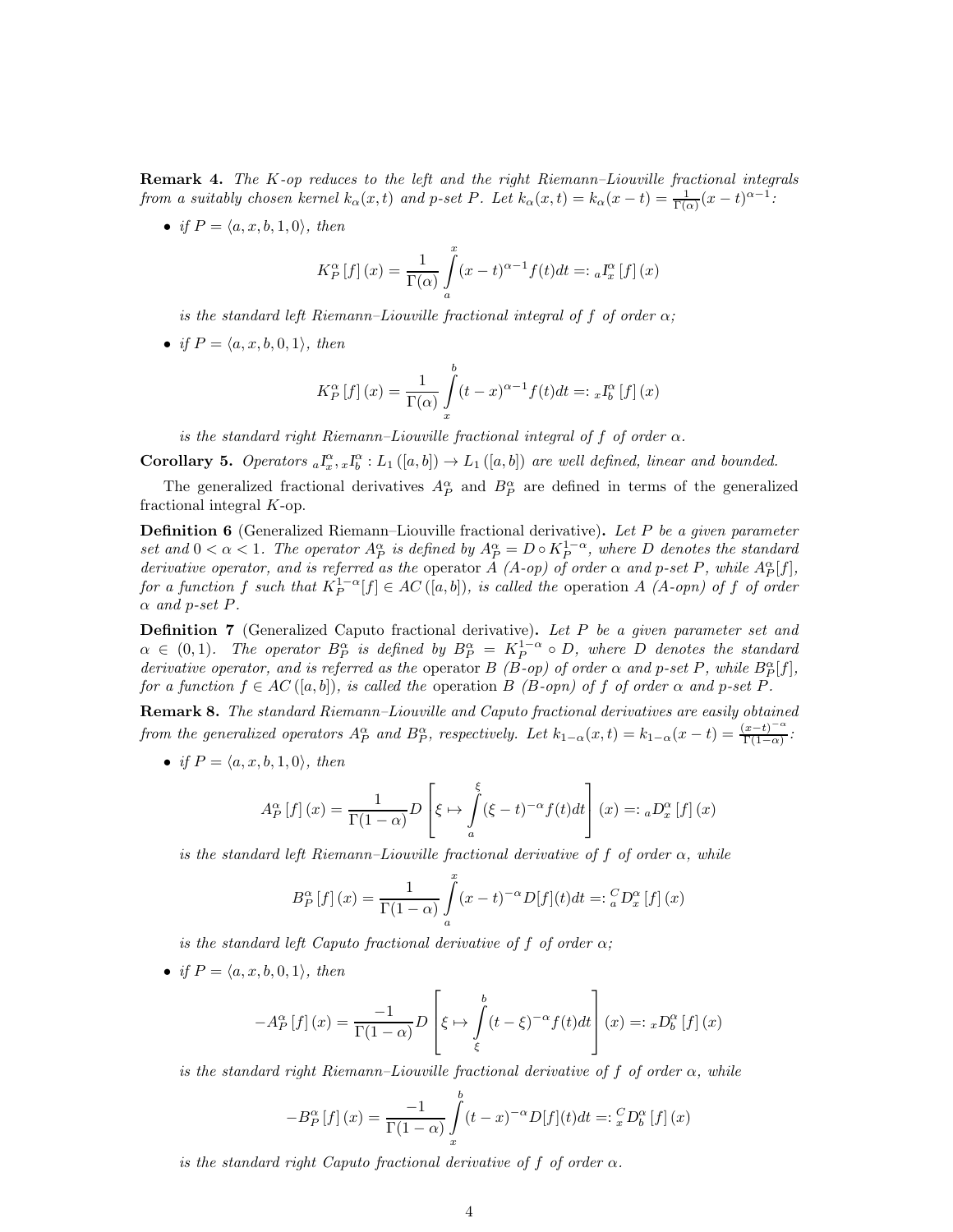**Remark 4.** The  $K$ -op reduces to the left and the right Riemann–Liouville fractional integrals from a suitably chosen kernel  $k_{\alpha}(x,t)$  and p-set P. Let  $k_{\alpha}(x,t) = k_{\alpha}(x-t) = \frac{1}{\Gamma(\alpha)}(x-t)^{\alpha-1}$ .

• if  $P = \langle a, x, b, 1, 0 \rangle$ , then

$$
K_P^{\alpha}[f](x) = \frac{1}{\Gamma(\alpha)} \int_a^x (x-t)^{\alpha-1} f(t)dt =: {}_{a}I_x^{\alpha}[f](x)
$$

is the standard left Riemann–Liouville fractional integral of f of order  $\alpha$ ;

• if  $P = \langle a, x, b, 0, 1 \rangle$ , then

$$
K_P^{\alpha}[f](x) = \frac{1}{\Gamma(\alpha)} \int_{x}^{b} (t - x)^{\alpha - 1} f(t) dt =: {_{x}I_b^{\alpha}[f](x)}
$$

is the standard right Riemann–Liouville fractional integral of f of order  $\alpha$ .

**Corollary 5.** Operators  ${}_{a}I_{x}^{\alpha}$ ,  ${}_{x}I_{b}^{\alpha}$  :  $L_1([a,b]) \rightarrow L_1([a,b])$  are well defined, linear and bounded.

The generalized fractional derivatives  $A_P^{\alpha}$  and  $B_P^{\alpha}$  are defined in terms of the generalized fractional integral K-op.

**Definition 6** (Generalized Riemann–Liouville fractional derivative). Let P be a given parameter set and  $0 < \alpha < 1$ . The operator  $A_P^{\alpha}$  is defined by  $A_P^{\alpha} = D \circ K_P^{1-\alpha}$ , where D denotes the standard derivative operator, and is referred as the operator A (A-op) of order  $\alpha$  and p-set P, while  $A_P^{\alpha}[f]$ , for a function f such that  $K_P^{1-\alpha}[f] \in AC([a, b]),$  is called the operation A  $(A \text{-} opn)$  of f of order  $\alpha$  and p-set P.

<span id="page-3-0"></span>**Definition 7** (Generalized Caputo fractional derivative). Let  $P$  be a given parameter set and  $\alpha \in (0,1)$ . The operator  $B_P^{\alpha}$  is defined by  $B_P^{\alpha} = K_P^{1-\alpha} \circ D$ , where D denotes the standard derivative operator, and is referred as the operator  $B$  (B-op) of order  $\alpha$  and p-set P, while  $B_P^{\alpha}[f]$ , for a function  $f \in AC([a, b]),$  is called the operation B (B-opn) of f of order  $\alpha$  and p-set P.

Remark 8. The standard Riemann–Liouville and Caputo fractional derivatives are easily obtained from the generalized operators  $A_P^{\alpha}$  and  $B_P^{\alpha}$ , respectively. Let  $k_{1-\alpha}(x,t) = k_{1-\alpha}(x-t) = \frac{(x-t)^{-\alpha}}{\Gamma(1-\alpha)}$  $rac{x-t}{\Gamma(1-\alpha)}$ :

• if  $P = \langle a, x, b, 1, 0 \rangle$ , then

$$
A_P^{\alpha}[f](x) = \frac{1}{\Gamma(1-\alpha)}D\left[\xi \mapsto \int_a^{\xi} (\xi - t)^{-\alpha} f(t)dt\right](x) =: {}_{a}D_x^{\alpha}[f](x)
$$

is the standard left Riemann–Liouville fractional derivative of f of order  $\alpha$ , while

$$
B_P^{\alpha}[f](x) = \frac{1}{\Gamma(1-\alpha)} \int_a^x (x-t)^{-\alpha} D[f](t)dt =: {^C_a}D_x^{\alpha}[f](x)
$$

is the standard left Caputo fractional derivative of f of order  $\alpha$ ;

• if  $P = \langle a, x, b, 0, 1 \rangle$ , then

$$
-A_P^{\alpha}[f](x) = \frac{-1}{\Gamma(1-\alpha)}D\left[\xi \mapsto \int\limits_{\xi}^{b} (t-\xi)^{-\alpha} f(t)dt\right](x) =: {}_{x}D_b^{\alpha}[f](x)
$$

is the standard right Riemann–Liouville fractional derivative of f of order  $\alpha$ , while

$$
-B_P^{\alpha}[f](x) = \frac{-1}{\Gamma(1-\alpha)} \int_{x}^{b} (t-x)^{-\alpha} D[f](t)dt =: {^C_x}D_b^{\alpha}[f](x)
$$

is the standard right Caputo fractional derivative of f of order  $\alpha$ .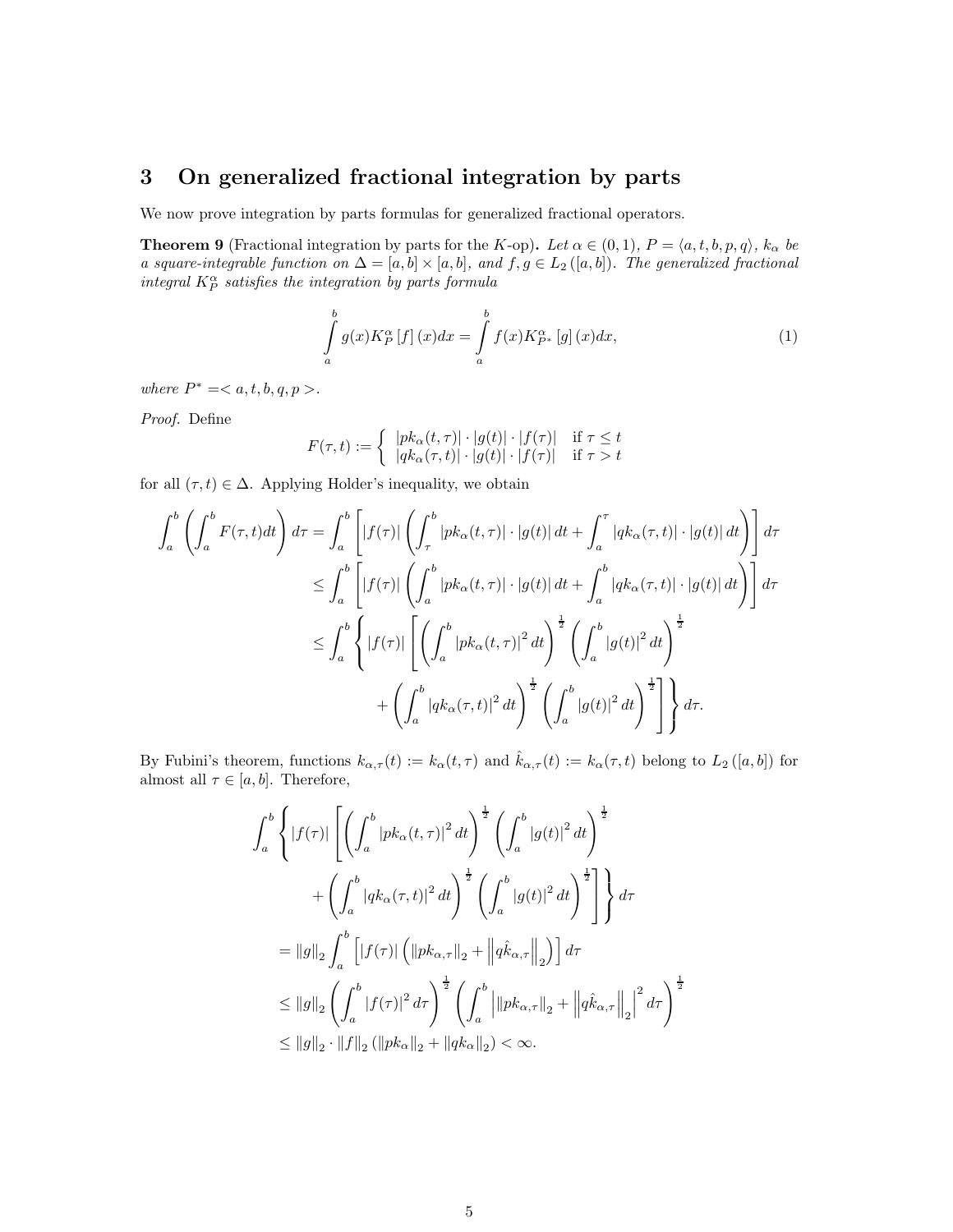# <span id="page-4-0"></span>3 On generalized fractional integration by parts

We now prove integration by parts formulas for generalized fractional operators.

<span id="page-4-2"></span>**Theorem 9** (Fractional integration by parts for the K-op). Let  $\alpha \in (0,1)$ ,  $P = \langle a, t, b, p, q \rangle$ ,  $k_{\alpha}$  be a square-integrable function on  $\Delta = [a, b] \times [a, b]$ , and  $f, g \in L_2([a, b])$ . The generalized fractional integral  $K_P^{\alpha}$  satisfies the integration by parts formula

<span id="page-4-1"></span>
$$
\int_{a}^{b} g(x) K_{P}^{\alpha} \left[ f \right](x) dx = \int_{a}^{b} f(x) K_{P^{*}}^{\alpha} \left[ g \right](x) dx, \tag{1}
$$

where  $P^* =$ .

Proof. Define

$$
F(\tau, t) := \begin{cases} |pk_{\alpha}(t, \tau)| \cdot |g(t)| \cdot |f(\tau)| & \text{if } \tau \le t \\ |qk_{\alpha}(\tau, t)| \cdot |g(t)| \cdot |f(\tau)| & \text{if } \tau > t \end{cases}
$$

for all  $(\tau, t) \in \Delta$ . Applying Holder's inequality, we obtain

$$
\int_{a}^{b} \left( \int_{a}^{b} F(\tau, t) dt \right) d\tau = \int_{a}^{b} \left[ |f(\tau)| \left( \int_{\tau}^{b} |pk_{\alpha}(t, \tau)| \cdot |g(t)| dt + \int_{a}^{\tau} |qk_{\alpha}(\tau, t)| \cdot |g(t)| dt \right) \right] d\tau
$$
  
\n
$$
\leq \int_{a}^{b} \left[ |f(\tau)| \left( \int_{a}^{b} |pk_{\alpha}(t, \tau)| \cdot |g(t)| dt + \int_{a}^{b} |qk_{\alpha}(\tau, t)| \cdot |g(t)| dt \right) \right] d\tau
$$
  
\n
$$
\leq \int_{a}^{b} \left\{ |f(\tau)| \left[ \left( \int_{a}^{b} |pk_{\alpha}(t, \tau)|^{2} dt \right)^{\frac{1}{2}} \left( \int_{a}^{b} |g(t)|^{2} dt \right)^{\frac{1}{2}} \right. \right.
$$
  
\n
$$
+ \left( \int_{a}^{b} |qk_{\alpha}(\tau, t)|^{2} dt \right)^{\frac{1}{2}} \left( \int_{a}^{b} |g(t)|^{2} dt \right)^{\frac{1}{2}} \right] \right\} d\tau.
$$

By Fubini's theorem, functions  $k_{\alpha,\tau}(t) := k_{\alpha}(t,\tau)$  and  $\hat{k}_{\alpha,\tau}(t) := k_{\alpha}(\tau,t)$  belong to  $L_2([a,b])$  for almost all  $\tau \in [a, b]$ . Therefore,

$$
\int_{a}^{b} \left\{ |f(\tau)| \left[ \left( \int_{a}^{b} |pk_{\alpha}(t,\tau)|^{2} dt \right)^{\frac{1}{2}} \left( \int_{a}^{b} |g(t)|^{2} dt \right)^{\frac{1}{2}} \right. \right. \\ \left. + \left( \int_{a}^{b} |qk_{\alpha}(\tau,t)|^{2} dt \right)^{\frac{1}{2}} \left( \int_{a}^{b} |g(t)|^{2} dt \right)^{\frac{1}{2}} \right] \right\} d\tau
$$
\n
$$
= ||g||_{2} \int_{a}^{b} \left[ |f(\tau)| \left( ||pk_{\alpha,\tau}||_{2} + \left\| q\hat{k}_{\alpha,\tau} \right\|_{2} \right) \right] d\tau
$$
\n
$$
\leq ||g||_{2} \left( \int_{a}^{b} |f(\tau)|^{2} d\tau \right)^{\frac{1}{2}} \left( \int_{a}^{b} \left\| |pk_{\alpha,\tau}||_{2} + \left\| q\hat{k}_{\alpha,\tau} \right\|_{2} \right\|^{2} d\tau \right)^{\frac{1}{2}}
$$
\n
$$
\leq ||g||_{2} \cdot ||f||_{2} (||pk_{\alpha}||_{2} + ||qk_{\alpha}||_{2}) < \infty.
$$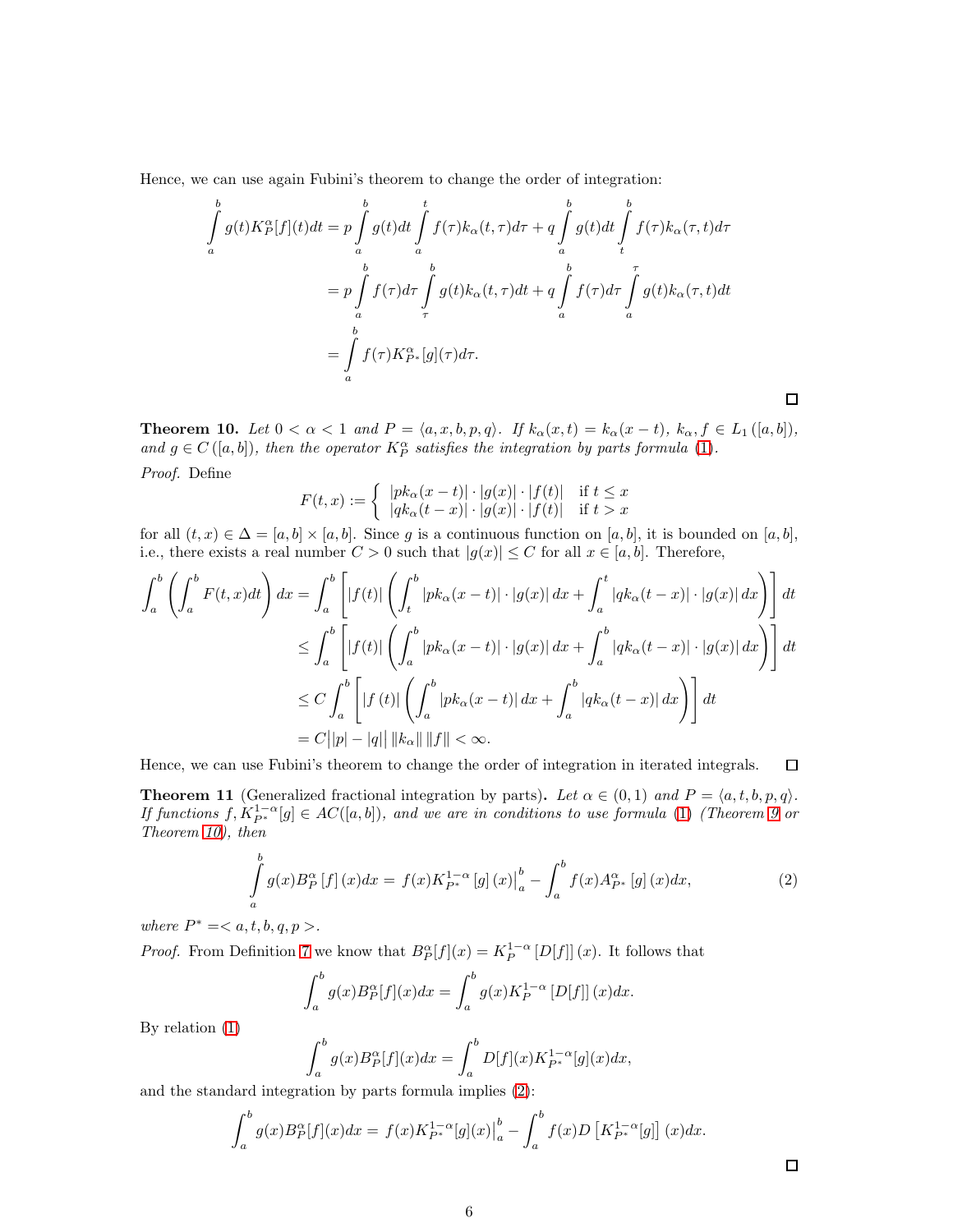Hence, we can use again Fubini's theorem to change the order of integration:

$$
\int_{a}^{b} g(t)K_{P}^{\alpha}[f](t)dt = p \int_{a}^{b} g(t)dt \int_{a}^{t} f(\tau)k_{\alpha}(t,\tau)d\tau + q \int_{a}^{b} g(t)dt \int_{t}^{b} f(\tau)k_{\alpha}(\tau,t)d\tau
$$
\n
$$
= p \int_{a}^{b} f(\tau)d\tau \int_{\tau}^{b} g(t)k_{\alpha}(t,\tau)dt + q \int_{a}^{b} f(\tau)d\tau \int_{a}^{\tau} g(t)k_{\alpha}(\tau,t)dt
$$
\n
$$
= \int_{a}^{b} f(\tau)K_{P^{*}}^{\alpha}[g](\tau)d\tau.
$$

<span id="page-5-0"></span>**Theorem 10.** Let  $0 < \alpha < 1$  and  $P = \langle a, x, b, p, q \rangle$ . If  $k_{\alpha}(x, t) = k_{\alpha}(x - t)$ ,  $k_{\alpha}, f \in L_1([a, b])$ , and  $g \in C([a, b]),$  then the operator  $K_P^{\alpha}$  satisfies the integration by parts formula [\(1\)](#page-4-1). Proof. Define

$$
F(t,x) := \begin{cases} |pk_{\alpha}(x-t)| \cdot |g(x)| \cdot |f(t)| & \text{if } t \leq x \\ |qk_{\alpha}(t-x)| \cdot |g(x)| \cdot |f(t)| & \text{if } t > x \end{cases}
$$

for all  $(t, x) \in \Delta = [a, b] \times [a, b]$ . Since g is a continuous function on  $[a, b]$ , it is bounded on  $[a, b]$ , i.e., there exists a real number  $C > 0$  such that  $|g(x)| \leq C$  for all  $x \in [a, b]$ . Therefore,

$$
\int_{a}^{b} \left( \int_{a}^{b} F(t, x) dt \right) dx = \int_{a}^{b} \left[ |f(t)| \left( \int_{t}^{b} |pk_{\alpha}(x - t)| \cdot |g(x)| dx + \int_{a}^{t} |qk_{\alpha}(t - x)| \cdot |g(x)| dx \right) \right] dt
$$
  
\n
$$
\leq \int_{a}^{b} \left[ |f(t)| \left( \int_{a}^{b} |pk_{\alpha}(x - t)| \cdot |g(x)| dx + \int_{a}^{b} |qk_{\alpha}(t - x)| \cdot |g(x)| dx \right) \right] dt
$$
  
\n
$$
\leq C \int_{a}^{b} \left[ |f(t)| \left( \int_{a}^{b} |pk_{\alpha}(x - t)| dx + \int_{a}^{b} |qk_{\alpha}(t - x)| dx \right) \right] dt
$$
  
\n
$$
= C ||p| - |q| ||qk_{\alpha}|| ||f|| < \infty.
$$

Hence, we can use Fubini's theorem to change the order of integration in iterated integrals.  $\Box$ 

<span id="page-5-2"></span>**Theorem 11** (Generalized fractional integration by parts). Let  $\alpha \in (0,1)$  and  $P = \langle a, t, b, p, q \rangle$ . If functions  $f, K_{P^*}^{1-\alpha}[g] \in AC([a, b]),$  and we are in conditions to use formula [\(1\)](#page-4-1) (Theorem [9](#page-4-2) or Theorem [10\)](#page-5-0), then

<span id="page-5-1"></span>
$$
\int_{a}^{b} g(x) B_{P}^{\alpha} [f] (x) dx = f(x) K_{P^{*}}^{1-\alpha} [g] (x) \Big|_{a}^{b} - \int_{a}^{b} f(x) A_{P^{*}}^{\alpha} [g] (x) dx,
$$
\n(2)

where  $P^* =$ .

*Proof.* From Definition [7](#page-3-0) we know that  $B_P^{\alpha}[f](x) = K_P^{1-\alpha}[D[f]](x)$ . It follows that

$$
\int_a^b g(x)B_P^{\alpha}[f](x)dx = \int_a^b g(x)K_P^{1-\alpha}[D[f]](x)dx.
$$

By relation [\(1\)](#page-4-1)

$$
\int_a^b g(x)B_P^{\alpha}[f](x)dx = \int_a^b D[f](x)K_{P^*}^{1-\alpha}[g](x)dx,
$$

and the standard integration by parts formula implies [\(2\)](#page-5-1):

$$
\int_{a}^{b} g(x)B_{P}^{\alpha}[f](x)dx = f(x)K_{P^{*}}^{1-\alpha}[g](x)\Big|_{a}^{b} - \int_{a}^{b} f(x)D\left[K_{P^{*}}^{1-\alpha}[g]\right](x)dx.
$$

 $\Box$ 

 $\Box$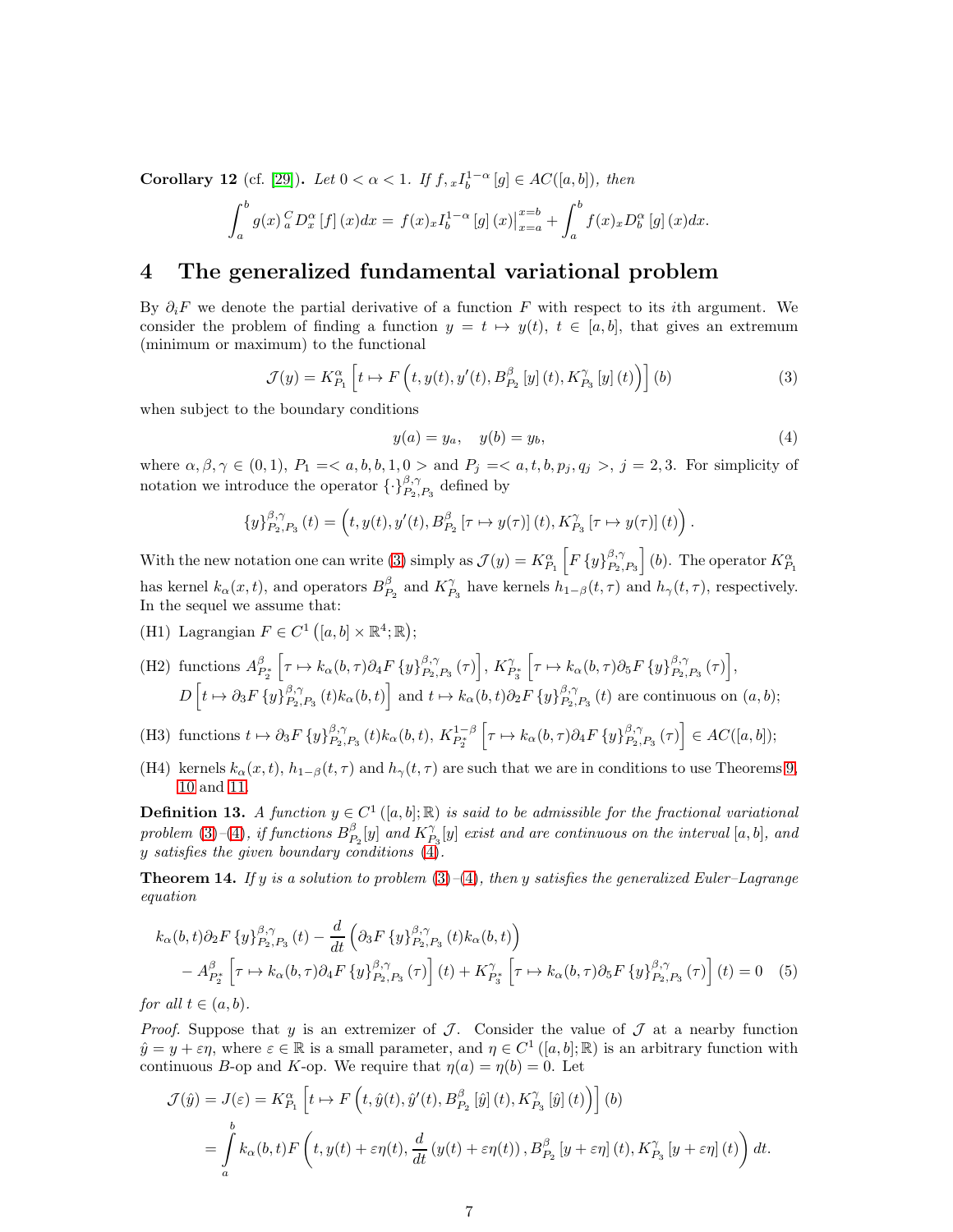Corollary 12 (cf. [\[29\]](#page-17-12)). Let  $0 < \alpha < 1$ . If  $f, {}_{x}I_{b}^{1-\alpha}[g] \in AC([a, b]),$  then

$$
\int_{a}^{b} g(x) {^{C}_{a}D_{x}^{\alpha}} [f] (x) dx = f(x) {_{x}I_{b}^{1-\alpha}} [g] (x) |_{x=a}^{x=b} + \int_{a}^{b} f(x) {_{x}D_{b}^{\alpha}} [g] (x) dx.
$$

#### <span id="page-6-1"></span>4 The generalized fundamental variational problem

By  $\partial_i F$  we denote the partial derivative of a function F with respect to its *i*th argument. We consider the problem of finding a function  $y = t \mapsto y(t)$ ,  $t \in [a, b]$ , that gives an extremum (minimum or maximum) to the functional

<span id="page-6-2"></span>
$$
\mathcal{J}(y) = K_{P_1}^{\alpha} \left[ t \mapsto F\left( t, y(t), y'(t), B_{P_2}^{\beta} \left[ y \right](t), K_{P_3}^{\gamma} \left[ y \right](t) \right) \right] (b)
$$
\n
$$
\tag{3}
$$

when subject to the boundary conditions

<span id="page-6-3"></span>
$$
y(a) = y_a, \quad y(b) = y_b,\tag{4}
$$

<span id="page-6-4"></span>.

where  $\alpha, \beta, \gamma \in (0, 1)$ ,  $P_1 = \langle a, b, b, 1, 0 \rangle$  and  $P_j = \langle a, t, b, p_j, q_j \rangle$ ,  $j = 2, 3$ . For simplicity of notation we introduce the operator  $\{\cdot\}_{P_2, P_3}^{\beta, \gamma}$  defined by

$$
\{y\}_{P_2,P_3}^{\beta,\gamma}(t)=\left(t,y(t),y'(t),B_{P_2}^{\beta}\left[\tau\mapsto y(\tau)\right](t),K_{P_3}^{\gamma}\left[\tau\mapsto y(\tau)\right](t)\right)
$$

With the new notation one can write [\(3\)](#page-6-2) simply as  $\mathcal{J}(y) = K_{P_1}^{\alpha} \left[ F \left\{ y \right\}_{P_2}^{\beta, \gamma} \right]$  $\begin{bmatrix} \beta, \gamma \\ P_2, P_3 \end{bmatrix}$  (b). The operator  $K_{P_1}^{\alpha}$ has kernel  $k_{\alpha}(x,t)$ , and operators  $B_{P_2}^{\beta}$  and  $K_{P_3}^{\gamma}$  have kernels  $h_{1-\beta}(t,\tau)$  and  $h_{\gamma}(t,\tau)$ , respectively. In the sequel we assume that:

- (H1) Lagrangian  $F \in C^1([a, b] \times \mathbb{R}^4; \mathbb{R})$ ;
- (H2) functions  $A_{P_2^*}^{\beta}$  $\Big[ \tau \mapsto k_\alpha(b, \tau) \partial_4 F \, \{y\}_{P_2}^{\beta, \gamma}$  $\left. \begin{array}{c} \beta,\gamma \\ P_2,P_3 \end{array} (\tau) \right], K_{P_3^*}^{\gamma}$  $\Big[ \tau \mapsto k_\alpha(b, \tau) \partial_5 F \, \{y\}_{P_2}^{\beta, \gamma}$  $\left. \begin{array}{c} \beta, \gamma \\ P_2, P_3 \end{array} \right( \tau ) \bigg],$  $D\left[t\mapsto \partial_3 F\left\{y\right\}_{P_2,P_3}^{\beta,\gamma}(t) k_\alpha(b,t)\right]$  and  $t\mapsto k_\alpha(b,t) \partial_2 F\left\{y\right\}_{P_2,P_3}^{\beta,\gamma}(t)$  are continuous on  $(a,b)$ ;

(H3) functions 
$$
t \mapsto \partial_3 F\{y\}_{P_2,P_3}^{\beta,\gamma}(t) k_\alpha(b,t), K_{P_2^*}^{1-\beta} \left[\tau \mapsto k_\alpha(b,\tau) \partial_4 F\{y\}_{P_2,P_3}^{\beta,\gamma}(\tau)\right] \in AC([a,b]);
$$

(H4) kernels  $k_{\alpha}(x, t)$ ,  $h_{1-\beta}(t, \tau)$  and  $h_{\gamma}(t, \tau)$  are such that we are in conditions to use Theorems [9,](#page-4-2) [10](#page-5-0) and [11.](#page-5-2)

**Definition 13.** A function  $y \in C^1([a, b]; \mathbb{R})$  is said to be admissible for the fractional variational problem [\(3\)](#page-6-2)–[\(4\)](#page-6-3), if functions  $B_{P_2}^{\beta}[y]$  and  $K_{P_3}^{\gamma}[y]$  exist and are continuous on the interval  $[a, b]$ , and y satisfies the given boundary conditions  $(4)$ .

<span id="page-6-0"></span>**Theorem 14.** If y is a solution to problem  $(3)-(4)$  $(3)-(4)$  $(3)-(4)$ , then y satisfies the generalized Euler–Lagrange equation

$$
k_{\alpha}(b,t)\partial_2 F\left\{y\right\}_{P_2,P_3}^{\beta,\gamma}(t) - \frac{d}{dt}\left(\partial_3 F\left\{y\right\}_{P_2,P_3}^{\beta,\gamma}(t)k_{\alpha}(b,t)\right) - A_{P_2^*}^{\beta}\left[\tau \mapsto k_{\alpha}(b,\tau)\partial_4 F\left\{y\right\}_{P_2,P_3}^{\beta,\gamma}(\tau)\right](t) + K_{P_3^*}^{\gamma}\left[\tau \mapsto k_{\alpha}(b,\tau)\partial_5 F\left\{y\right\}_{P_2,P_3}^{\beta,\gamma}(\tau)\right](t) = 0 \quad (5)
$$

for all  $t \in (a, b)$ .

*Proof.* Suppose that y is an extremizer of  $\mathcal{J}$ . Consider the value of  $\mathcal{J}$  at a nearby function  $\hat{y} = y + \varepsilon \eta$ , where  $\varepsilon \in \mathbb{R}$  is a small parameter, and  $\eta \in C^1([a, b]; \mathbb{R})$  is an arbitrary function with continuous B-op and K-op. We require that  $\eta(a) = \eta(b) = 0$ . Let

$$
\mathcal{J}(\hat{y}) = J(\varepsilon) = K_{P_1}^{\alpha} \left[ t \mapsto F\left( t, \hat{y}(t), \hat{y}'(t), B_{P_2}^{\beta} \left[ \hat{y} \right](t), K_{P_3}^{\gamma} \left[ \hat{y} \right](t) \right) \right] (b)
$$
  
= 
$$
\int_a^b k_{\alpha}(b, t) F\left( t, y(t) + \varepsilon \eta(t), \frac{d}{dt} \left( y(t) + \varepsilon \eta(t) \right), B_{P_2}^{\beta} \left[ y + \varepsilon \eta \right](t), K_{P_3}^{\gamma} \left[ y + \varepsilon \eta \right](t) \right) dt.
$$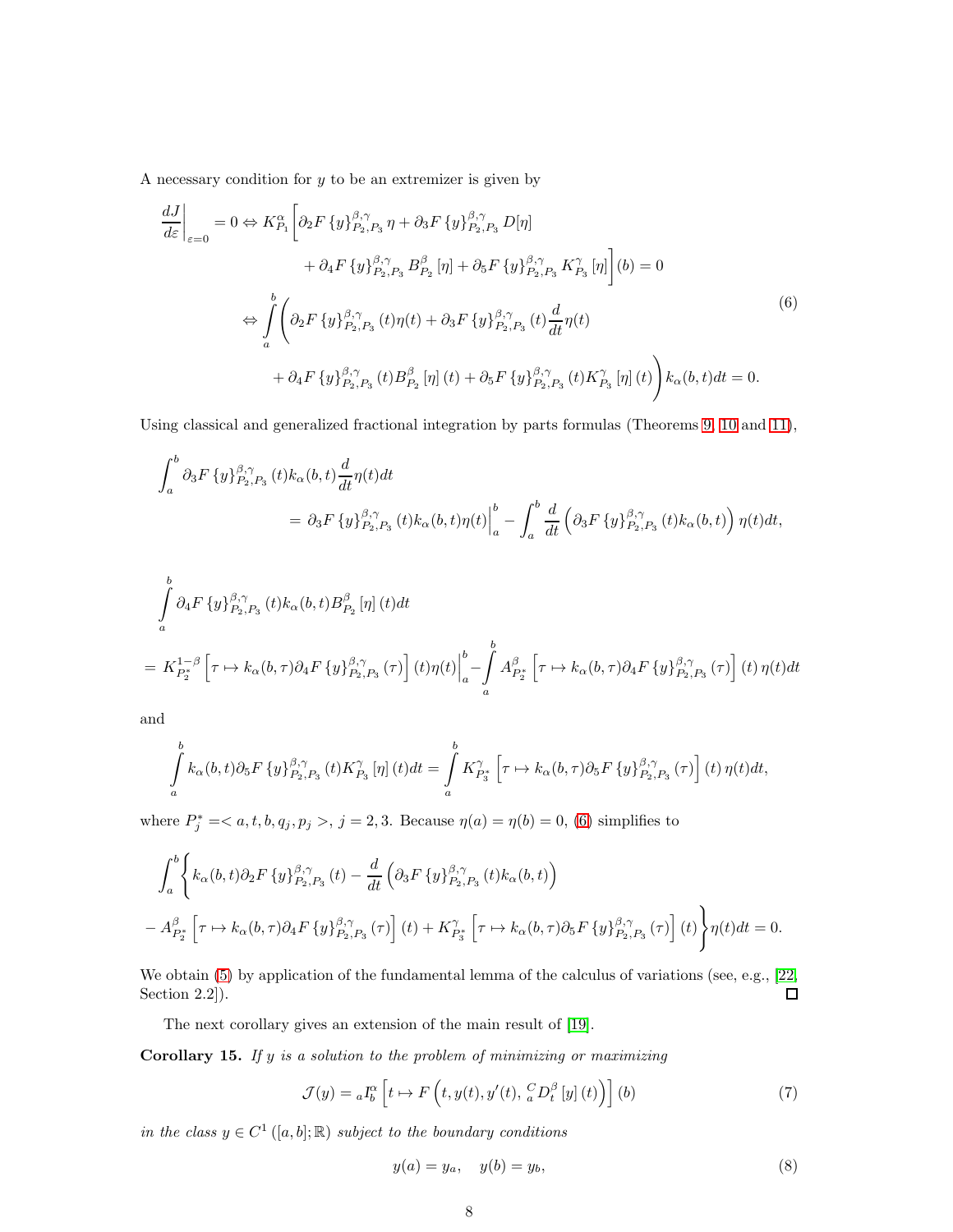A necessary condition for  $y$  to be an extremizer is given by

<span id="page-7-0"></span>
$$
\frac{dJ}{d\varepsilon}\Big|_{\varepsilon=0} = 0 \Leftrightarrow K_{P_1}^{\alpha} \Big[ \partial_2 F \{y\}_{P_2,P_3}^{\beta,\gamma} \eta + \partial_3 F \{y\}_{P_2,P_3}^{\beta,\gamma} D[\eta] \n+ \partial_4 F \{y\}_{P_2,P_3}^{\beta,\gamma} B_{P_2}^{\beta} [\eta] + \partial_5 F \{y\}_{P_2,P_3}^{\beta,\gamma} K_{P_3}^{\gamma} [\eta] \Big] (b) = 0 \n\Leftrightarrow \int_a^b \Big( \partial_2 F \{y\}_{P_2,P_3}^{\beta,\gamma} (t) \eta(t) + \partial_3 F \{y\}_{P_2,P_3}^{\beta,\gamma} (t) \frac{d}{dt} \eta(t) \n+ \partial_4 F \{y\}_{P_2,P_3}^{\beta,\gamma} (t) B_{P_2}^{\beta} [\eta] (t) + \partial_5 F \{y\}_{P_2,P_3}^{\beta,\gamma} (t) K_{P_3}^{\gamma} [\eta] (t) \Big) k_{\alpha}(b,t) dt = 0.
$$
\n
$$
(6)
$$

Using classical and generalized fractional integration by parts formulas (Theorems [9,](#page-4-2) [10](#page-5-0) and [11\)](#page-5-2),

$$
\int_{a}^{b} \partial_{3} F \left\{ y \right\}_{P_{2},P_{3}}^{\beta,\gamma}(t) k_{\alpha}(b,t) \frac{d}{dt} \eta(t) dt
$$
  
=  $\partial_{3} F \left\{ y \right\}_{P_{2},P_{3}}^{\beta,\gamma}(t) k_{\alpha}(b,t) \eta(t) \Big|_{a}^{b} - \int_{a}^{b} \frac{d}{dt} \left( \partial_{3} F \left\{ y \right\}_{P_{2},P_{3}}^{\beta,\gamma}(t) k_{\alpha}(b,t) \right) \eta(t) dt,$ 

$$
\int_{a}^{b} \partial_{4} F \left\{ y \right\}_{P_{2},P_{3}}^{\beta,\gamma} (t) k_{\alpha}(b,t) B_{P_{2}}^{\beta} [\eta] (t) dt
$$
\n
$$
= K_{P_{2}^{*}}^{1-\beta} \left[ \tau \mapsto k_{\alpha}(b,\tau) \partial_{4} F \left\{ y \right\}_{P_{2},P_{3}}^{\beta,\gamma} (\tau) \right] (t) \eta(t) \Big|_{a}^{b} - \int_{a}^{b} A_{P_{2}^{*}}^{\beta} \left[ \tau \mapsto k_{\alpha}(b,\tau) \partial_{4} F \left\{ y \right\}_{P_{2},P_{3}}^{\beta,\gamma} (\tau) \right] (t) \eta(t) dt
$$

and

$$
\int_a^b k_\alpha(b,t)\partial_5 F\left\{y\right\}_{P_2,P_3}^{\beta,\gamma}(t)K_{P_3}^\gamma\left[\eta\right](t)dt = \int_a^b K_{P_3^*}^\gamma\left[\tau \mapsto k_\alpha(b,\tau)\partial_5 F\left\{y\right\}_{P_2,P_3}^{\beta,\gamma}(\tau)\right](t)\,\eta(t)dt,
$$

where  $P_j^* = \langle a, t, b, q_j, p_j \rangle, j = 2, 3$ . Because  $\eta(a) = \eta(b) = 0$ , [\(6\)](#page-7-0) simplifies to

$$
\int_{a}^{b} \left\{ k_{\alpha}(b,t) \partial_{2} F \left\{ y \right\}_{P_{2},P_{3}}^{\beta,\gamma}(t) - \frac{d}{dt} \left( \partial_{3} F \left\{ y \right\}_{P_{2},P_{3}}^{\beta,\gamma}(t) k_{\alpha}(b,t) \right) \right\} - A_{P_{2}^{*}}^{\beta} \left[ \tau \mapsto k_{\alpha}(b,\tau) \partial_{4} F \left\{ y \right\}_{P_{2},P_{3}}^{\beta,\gamma}(\tau) \right] (t) + K_{P_{3}^{*}}^{\gamma} \left[ \tau \mapsto k_{\alpha}(b,\tau) \partial_{5} F \left\{ y \right\}_{P_{2},P_{3}}^{\beta,\gamma}(\tau) \right] (t) \right\} \eta(t) dt = 0.
$$

We obtain [\(5\)](#page-6-4) by application of the fundamental lemma of the calculus of variations (see, e.g., [\[22,](#page-17-13) Section 2.2]).  $\Box$ 

The next corollary gives an extension of the main result of [\[19\]](#page-17-5).

Corollary 15. If  $y$  is a solution to the problem of minimizing or maximizing

<span id="page-7-1"></span>
$$
\mathcal{J}(y) = {}_{a}I_{b}^{\alpha} \left[ t \mapsto F \left( t, y(t), y'(t), {}_{a}^{C}D_{t}^{\beta} \left[ y \right] (t) \right) \right] (b)
$$
\n
$$
(7)
$$

in the class  $y \in C^1([a, b]; \mathbb{R})$  subject to the boundary conditions

<span id="page-7-2"></span>
$$
y(a) = y_a, \quad y(b) = y_b,\tag{8}
$$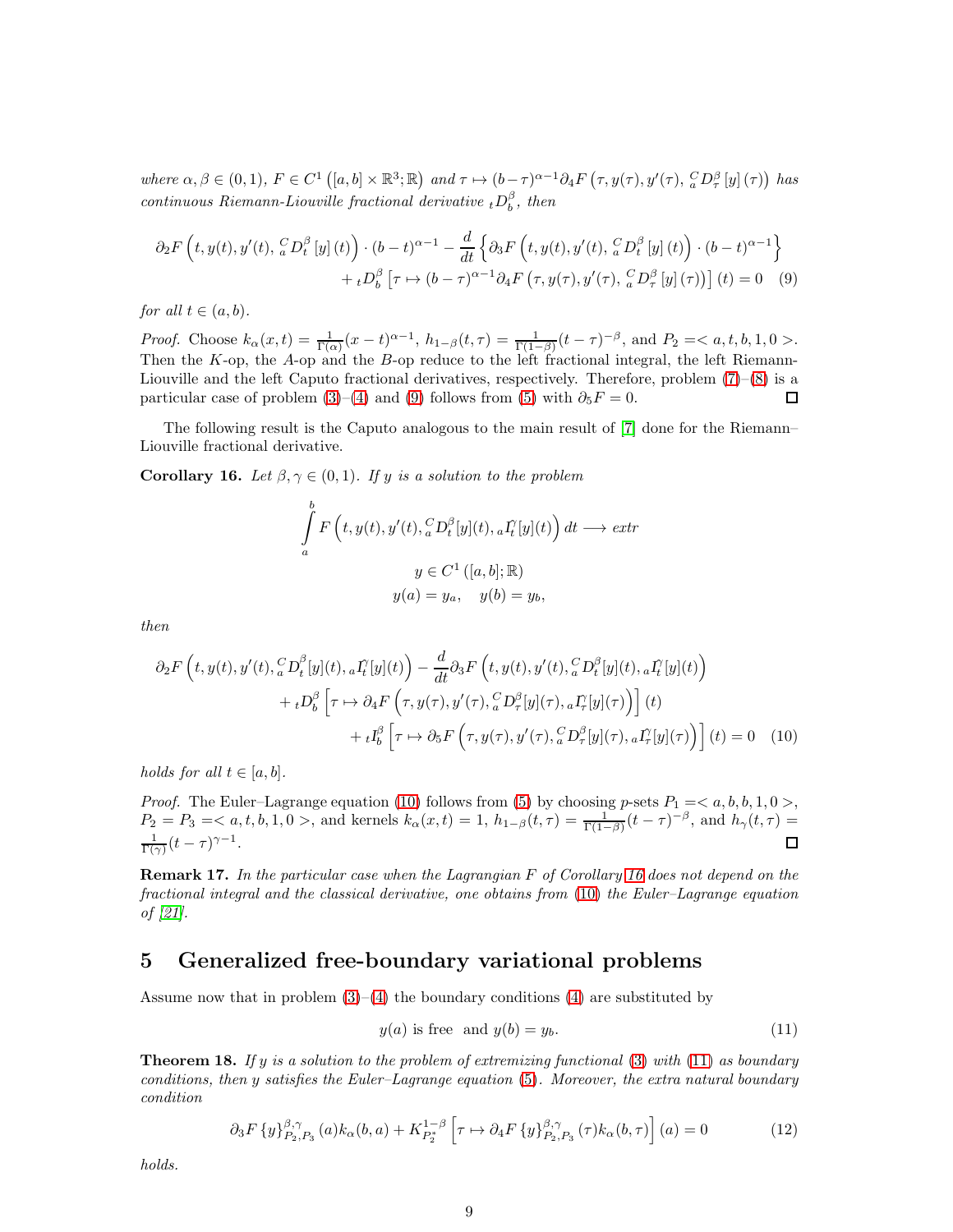where  $\alpha, \beta \in (0,1)$ ,  $F \in C^{1}([a,b] \times \mathbb{R}^{3};\mathbb{R})$  and  $\tau \mapsto (b-\tau)^{\alpha-1}\partial_{4}F(\tau,y(\tau),y'(\tau),{}_{a}^{C}D_{\tau}^{\beta}[y](\tau))$  has continuous Riemann-Liouville fractional derivative  ${}_{t}D_{b}^{\beta}$ , then

$$
\partial_2 F\left(t, y(t), y'(t), \, _a^C D_t^{\beta} \left[y\right](t)\right) \cdot (b-t)^{\alpha-1} - \frac{d}{dt} \left\{\partial_3 F\left(t, y(t), y'(t), \, _a^C D_t^{\beta} \left[y\right](t)\right) \cdot (b-t)^{\alpha-1}\right\} + {}_t D_b^{\beta} \left[\tau \mapsto (b-\tau)^{\alpha-1} \partial_4 F\left(\tau, y(\tau), y'(\tau), \, _a^C D_\tau^{\beta} \left[y\right](\tau)\right)\right](t) = 0 \quad (9)
$$

for all  $t \in (a, b)$ .

*Proof.* Choose  $k_{\alpha}(x,t) = \frac{1}{\Gamma(\alpha)}(x-t)^{\alpha-1}$ ,  $h_{1-\beta}(t,\tau) = \frac{1}{\Gamma(1-\beta)}(t-\tau)^{-\beta}$ , and  $P_2 = \langle a, t, b, 1, 0 \rangle$ . Then the K-op, the A-op and the B-op reduce to the left fractional integral, the left Riemann-Liouville and the left Caputo fractional derivatives, respectively. Therefore, problem [\(7\)](#page-7-1)–[\(8\)](#page-7-2) is a particular case of problem [\(3\)](#page-6-2)–[\(4\)](#page-6-3) and [\(9\)](#page-8-1) follows from [\(5\)](#page-6-4) with  $\partial_5 F = 0$ . 口

The following result is the Caputo analogous to the main result of [\[7\]](#page-16-8) done for the Riemann– Liouville fractional derivative.

<span id="page-8-3"></span>Corollary 16. Let  $\beta, \gamma \in (0,1)$ . If y is a solution to the problem

<span id="page-8-1"></span>
$$
\int_{a}^{b} F\left(t, y(t), y'(t), \frac{C}{a} D_{t}^{\beta}[y](t), aI_{t}^{\gamma}[y](t)\right) dt \longrightarrow extr
$$
\n
$$
y \in C^{1}([a, b]; \mathbb{R})
$$
\n
$$
y(a) = y_{a}, \quad y(b) = y_{b},
$$

then

$$
\partial_2 F\left(t, y(t), y'(t), \,_{a}^{C} D_t^{\beta}[y](t), \,_{a} I_t^{\gamma}[y](t)\right) - \frac{d}{dt} \partial_3 F\left(t, y(t), y'(t), \,_{a}^{C} D_t^{\beta}[y](t), \,_{a} I_t^{\gamma}[y](t)\right) \n+ {}_{t} D_b^{\beta}\left[\tau \mapsto \partial_4 F\left(\tau, y(\tau), y'(\tau), \,_{a}^{C} D_\tau^{\beta}[y](\tau), \,_{a} I_\tau^{\gamma}[y](\tau)\right)\right](t) \n+ {}_{t} I_b^{\beta}\left[\tau \mapsto \partial_5 F\left(\tau, y(\tau), y'(\tau), \,_{a}^{C} D_\tau^{\beta}[y](\tau), \,_{a} I_\tau^{\gamma}[y](\tau)\right)\right](t) = 0 \quad (10)
$$

holds for all  $t \in [a, b]$ .

*Proof.* The Euler–Lagrange equation [\(10\)](#page-8-2) follows from [\(5\)](#page-6-4) by choosing p-sets  $P_1 = \langle a, b, b, 1, 0 \rangle$ ,  $P_2 = P_3 =$ , and kernels  $k_\alpha(x, t) = 1$ ,  $h_{1-\beta}(t, \tau) = \frac{1}{\Gamma(1-\beta)}(t-\tau)^{-\beta}$ , and  $h_\gamma(t, \tau) =$  $\frac{1}{\Gamma(\gamma)}(t-\tau)^{\gamma-1}.$ П

Remark 17. In the particular case when the Lagrangian F of Corollary [16](#page-8-3) does not depend on the fractional integral and the classical derivative, one obtains from [\(10\)](#page-8-2) the Euler–Lagrange equation of [\[21\]](#page-17-14).

## <span id="page-8-0"></span>5 Generalized free-boundary variational problems

Assume now that in problem  $(3)-(4)$  $(3)-(4)$  the boundary conditions  $(4)$  are substituted by

<span id="page-8-4"></span><span id="page-8-2"></span>
$$
y(a) \text{ is free and } y(b) = y_b. \tag{11}
$$

**Theorem 18.** If y is a solution to the problem of extremizing functional  $(3)$  with  $(11)$  as boundary conditions, then y satisfies the Euler–Lagrange equation [\(5\)](#page-6-4). Moreover, the extra natural boundary condition

<span id="page-8-5"></span>
$$
\partial_3 F \{y\}_{P_2, P_3}^{\beta, \gamma}(a) k_{\alpha}(b, a) + K_{P_2^*}^{1-\beta} \left[ \tau \mapsto \partial_4 F \{y\}_{P_2, P_3}^{\beta, \gamma}(\tau) k_{\alpha}(b, \tau) \right](a) = 0 \tag{12}
$$

holds.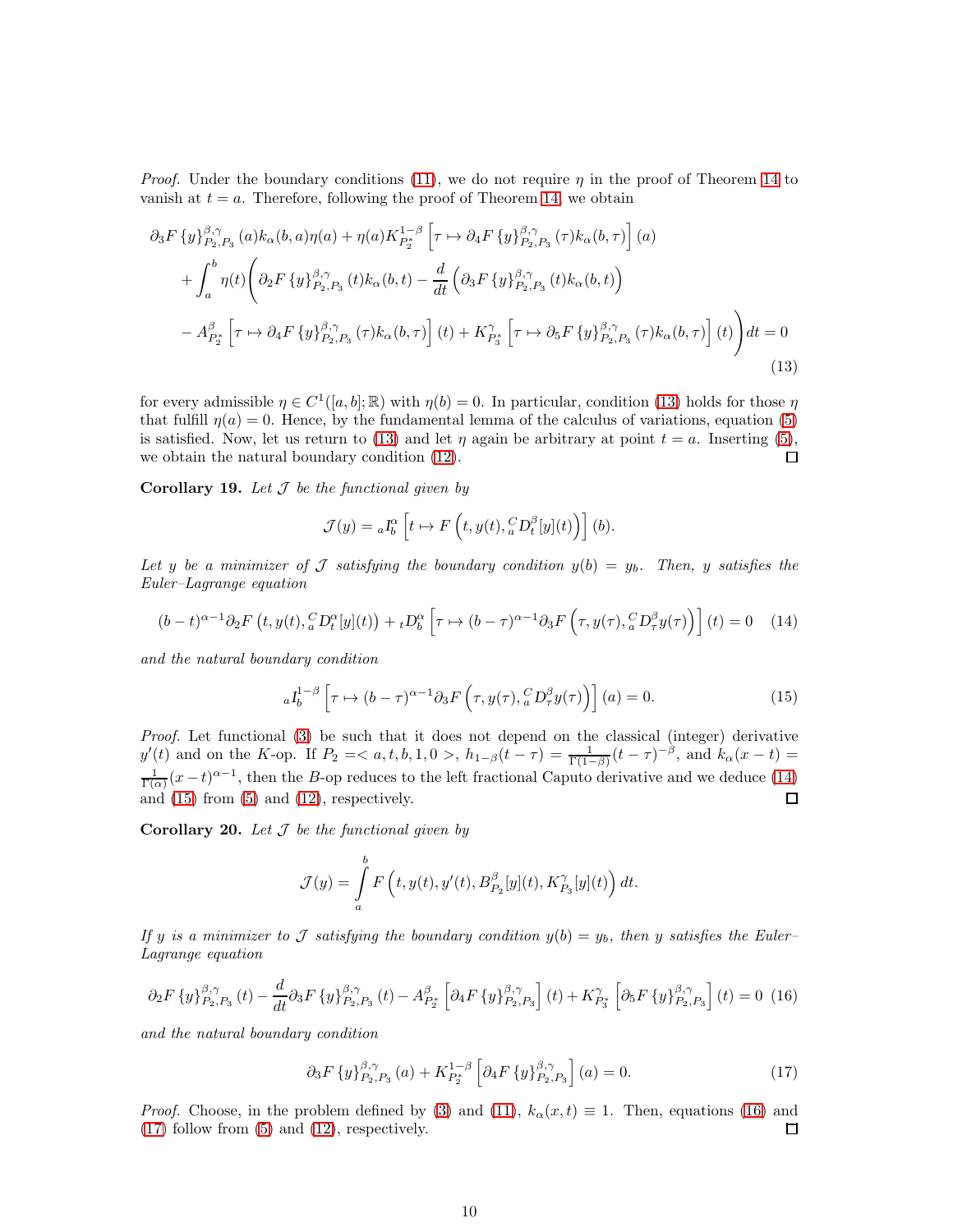*Proof.* Under the boundary conditions [\(11\)](#page-8-4), we do not require  $\eta$  in the proof of Theorem [14](#page-6-0) to vanish at  $t = a$ . Therefore, following the proof of Theorem [14,](#page-6-0) we obtain

<span id="page-9-0"></span>
$$
\partial_{3} F \{ y \}_{P_{2},P_{3}}^{\beta,\gamma}(a) k_{\alpha}(b,a) \eta(a) + \eta(a) K_{P_{2}^{*}}^{1-\beta} \left[ \tau \mapsto \partial_{4} F \{ y \}_{P_{2},P_{3}}^{\beta,\gamma}(\tau) k_{\alpha}(b,\tau) \right] (a)
$$
  
+ 
$$
\int_{a}^{b} \eta(t) \left( \partial_{2} F \{ y \}_{P_{2},P_{3}}^{\beta,\gamma}(t) k_{\alpha}(b,t) - \frac{d}{dt} \left( \partial_{3} F \{ y \}_{P_{2},P_{3}}^{\beta,\gamma}(t) k_{\alpha}(b,t) \right) - A_{P_{2}^{*}}^{\beta} \left[ \tau \mapsto \partial_{4} F \{ y \}_{P_{2},P_{3}}^{\beta,\gamma}(\tau) k_{\alpha}(b,\tau) \right] (t) + K_{P_{3}^{*}}^{\gamma} \left[ \tau \mapsto \partial_{5} F \{ y \}_{P_{2},P_{3}}^{\beta,\gamma}(\tau) k_{\alpha}(b,\tau) \right] (t) \right) dt = 0
$$
\n(13)

for every admissible  $\eta \in C^1([a, b]; \mathbb{R})$  with  $\eta(b) = 0$ . In particular, condition [\(13\)](#page-9-0) holds for those  $\eta$ that fulfill  $\eta(a) = 0$ . Hence, by the fundamental lemma of the calculus of variations, equation [\(5\)](#page-6-4) is satisfied. Now, let us return to [\(13\)](#page-9-0) and let  $\eta$  again be arbitrary at point  $t = a$ . Inserting [\(5\)](#page-6-4), we obtain the natural boundary condition [\(12\)](#page-8-5).  $\Box$ 

**Corollary 19.** Let  $\mathcal J$  be the functional given by

$$
\mathcal{J}(y) = {}_aI_b^{\alpha} \left[ t \mapsto F \left( t, y(t), {}_a^C D_t^{\beta}[y](t) \right) \right] (b).
$$

Let y be a minimizer of J satisfying the boundary condition  $y(b) = y_b$ . Then, y satisfies the Euler–Lagrange equation

<span id="page-9-1"></span>
$$
(b-t)^{\alpha-1}\partial_2 F(t, y(t), {}_{a}^{C}D_t^{\alpha}[y](t)) + {}_{t}D_b^{\alpha}\left[\tau \mapsto (b-\tau)^{\alpha-1}\partial_3 F\left(\tau, y(\tau), {}_{a}^{C}D_\tau^{\beta}y(\tau)\right)\right](t) = 0 \quad (14)
$$

and the natural boundary condition

<span id="page-9-2"></span>
$$
{}_{a}I_{b}^{1-\beta}\left[\tau \mapsto (b-\tau)^{\alpha-1}\partial_{3}F\left(\tau, y(\tau), {}_{a}^{C}D_{\tau}^{\beta}y(\tau)\right)\right](a) = 0.
$$
 (15)

Proof. Let functional [\(3\)](#page-6-2) be such that it does not depend on the classical (integer) derivative  $y'(t)$  and on the K-op. If  $P_2 = \langle a, t, b, 1, 0 \rangle$ ,  $h_{1-\beta}(t-\tau) = \frac{1}{\Gamma(1-\beta)}(t-\tau)^{-\beta}$ , and  $k_{\alpha}(x-t) =$  $\frac{1}{\Gamma(\alpha)}(x-t)^{\alpha-1}$ , then the B-op reduces to the left fractional Caputo derivative and we deduce [\(14\)](#page-9-1) and  $(15)$  from  $(5)$  and  $(12)$ , respectively.  $\Box$ 

**Corollary 20.** Let  $\mathcal J$  be the functional given by

$$
\mathcal{J}(y) = \int_a^b F\left(t, y(t), y'(t), B_{P_2}^{\beta}[y](t), K_{P_3}^{\gamma}[y](t)\right) dt.
$$

If y is a minimizer to J satisfying the boundary condition  $y(b) = y_b$ , then y satisfies the Euler-Lagrange equation

<span id="page-9-3"></span>
$$
\partial_2 F \left\{ y \right\}_{P_2, P_3}^{\beta, \gamma}(t) - \frac{d}{dt} \partial_3 F \left\{ y \right\}_{P_2, P_3}^{\beta, \gamma}(t) - A_{P_2^*}^{\beta} \left[ \partial_4 F \left\{ y \right\}_{P_2, P_3}^{\beta, \gamma} \right] (t) + K_{P_3^*}^{\gamma} \left[ \partial_5 F \left\{ y \right\}_{P_2, P_3}^{\beta, \gamma} \right] (t) = 0 \tag{16}
$$

and the natural boundary condition

<span id="page-9-4"></span>
$$
\partial_3 F \{ y \}_{P_2, P_3}^{\beta, \gamma}(a) + K_{P_2^*}^{1-\beta} \left[ \partial_4 F \{ y \}_{P_2, P_3}^{\beta, \gamma} \right](a) = 0. \tag{17}
$$

*Proof.* Choose, in the problem defined by [\(3\)](#page-6-2) and [\(11\)](#page-8-4),  $k_{\alpha}(x, t) \equiv 1$ . Then, equations [\(16\)](#page-9-3) and (17) follow from (5) and (12), respectively. [\(17\)](#page-9-4) follow from [\(5\)](#page-6-4) and [\(12\)](#page-8-5), respectively.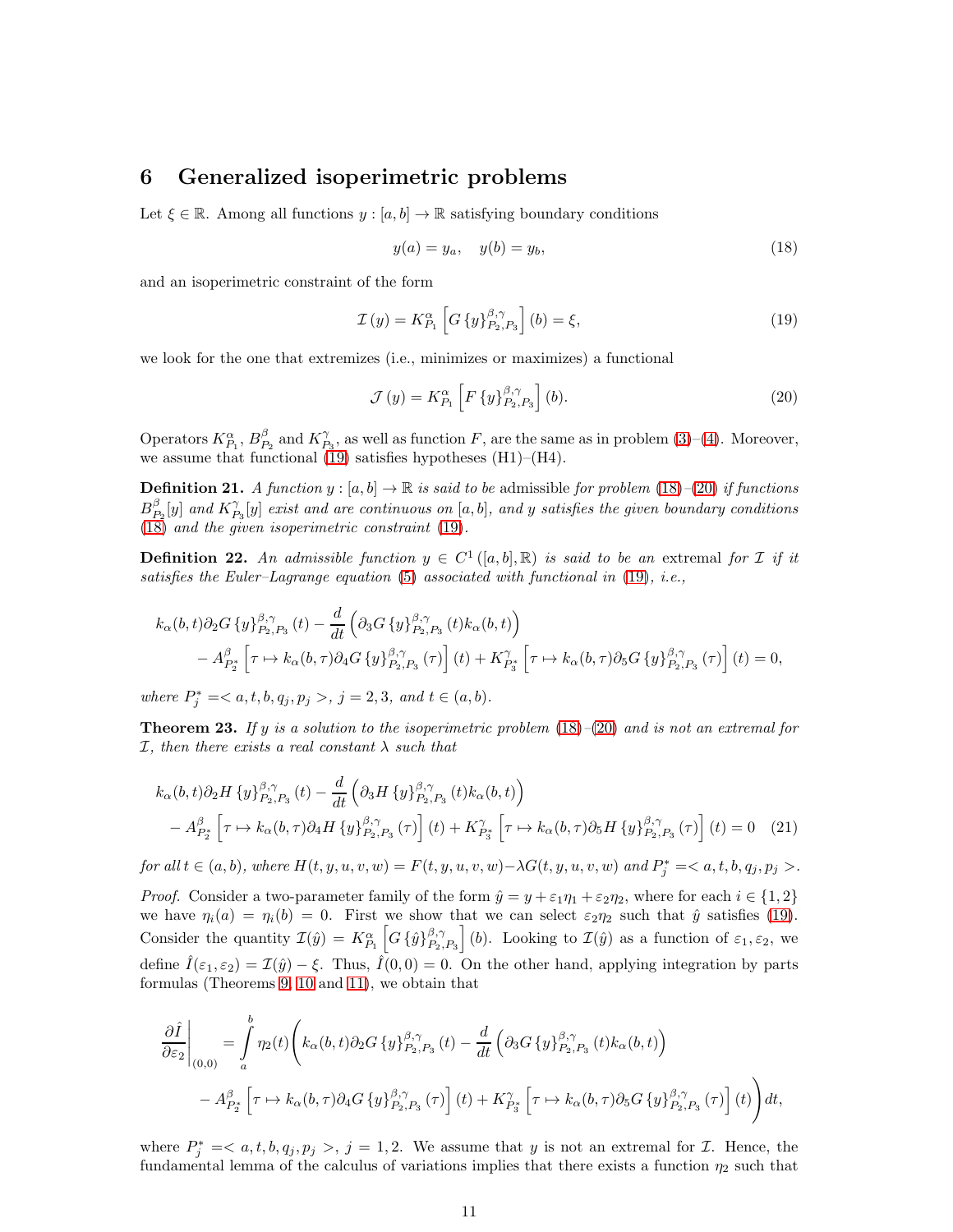#### <span id="page-10-1"></span>6 Generalized isoperimetric problems

Let  $\xi \in \mathbb{R}$ . Among all functions  $y : [a, b] \to \mathbb{R}$  satisfying boundary conditions

<span id="page-10-3"></span>
$$
y(a) = y_a, \quad y(b) = y_b,
$$
\n(18)

and an isoperimetric constraint of the form

<span id="page-10-2"></span>
$$
\mathcal{I}(y) = K_{P_1}^{\alpha} \left[ G \left\{ y \right\}_{P_2, P_3}^{\beta, \gamma} \right] (b) = \xi, \tag{19}
$$

we look for the one that extremizes (i.e., minimizes or maximizes) a functional

<span id="page-10-5"></span><span id="page-10-4"></span>
$$
\mathcal{J}(y) = K_{P_1}^{\alpha} \left[ F \left\{ y \right\}_{P_2, P_3}^{\beta, \gamma} \right] (b). \tag{20}
$$

Operators  $K_{P_1}^{\alpha}$ ,  $B_{P_2}^{\beta}$  and  $K_{P_3}^{\gamma}$ , as well as function F, are the same as in problem [\(3\)](#page-6-2)–[\(4\)](#page-6-3). Moreover, we assume that functional  $(19)$  satisfies hypotheses  $(H1)$ – $(H4)$ .

**Definition 21.** A function  $y : [a, b] \to \mathbb{R}$  is said to be admissible for problem [\(18\)](#page-10-3)–[\(20\)](#page-10-4) if functions  $B_{P_2}^{\beta}[y]$  and  $K_{P_3}^{\gamma}[y]$  exist and are continuous on  $[a,b]$ , and y satisfies the given boundary conditions [\(18\)](#page-10-3) and the given isoperimetric constraint [\(19\)](#page-10-2).

**Definition 22.** An admissible function  $y \in C^1([a, b], \mathbb{R})$  is said to be an extremal for  $\mathcal I$  if it satisfies the Euler–Lagrange equation  $(5)$  associated with functional in  $(19)$ , i.e.,

$$
k_{\alpha}(b,t)\partial_2 G\left\{y\right\}_{P_2,P_3}^{\beta,\gamma}(t) - \frac{d}{dt}\left(\partial_3 G\left\{y\right\}_{P_2,P_3}^{\beta,\gamma}(t)k_{\alpha}(b,t)\right) - A_{P_2^*}^{\beta}\left[\tau \mapsto k_{\alpha}(b,\tau)\partial_4 G\left\{y\right\}_{P_2,P_3}^{\beta,\gamma}(\tau)\right](t) + K_{P_3^*}^{\gamma}\left[\tau \mapsto k_{\alpha}(b,\tau)\partial_5 G\left\{y\right\}_{P_2,P_3}^{\beta,\gamma}(\tau)\right](t) = 0,
$$

where  $P_j^* = , j = 2, 3, and t \in (a, b).$ 

<span id="page-10-0"></span>**Theorem 23.** If y is a solution to the isoperimetric problem  $(18)$ – $(20)$  and is not an extremal for *I*, then there exists a real constant  $\lambda$  such that

$$
k_{\alpha}(b,t)\partial_2 H\left\{y\right\}_{P_2,P_3}^{\beta,\gamma}(t) - \frac{d}{dt}\left(\partial_3 H\left\{y\right\}_{P_2,P_3}^{\beta,\gamma}(t)k_{\alpha}(b,t)\right) - A_{P_2^*}^{\beta}\left[\tau \mapsto k_{\alpha}(b,\tau)\partial_4 H\left\{y\right\}_{P_2,P_3}^{\beta,\gamma}(\tau)\right](t) + K_{P_3^*}^{\gamma}\left[\tau \mapsto k_{\alpha}(b,\tau)\partial_5 H\left\{y\right\}_{P_2,P_3}^{\beta,\gamma}(\tau)\right](t) = 0 \quad (21)
$$

 $for all t \in (a, b), where H(t, y, u, v, w) = F(t, y, u, v, w) - \lambda G(t, y, u, v, w)$  and  $P_j^* =  $a, t, b, q_j, p_j >$ .$ 

*Proof.* Consider a two-parameter family of the form  $\hat{y} = y + \varepsilon_1 \eta_1 + \varepsilon_2 \eta_2$ , where for each  $i \in \{1, 2\}$ we have  $\eta_i(a) = \eta_i(b) = 0$ . First we show that we can select  $\varepsilon_2 \eta_2$  such that  $\hat{y}$  satisfies [\(19\)](#page-10-2). Consider the quantity  $\mathcal{I}(\hat{y}) = K_{P_1}^{\alpha} \left[ G \left\{ \hat{y} \right\}_{P_2}^{\beta, \gamma} \right]$  $\begin{bmatrix} \beta, \gamma \\ P_2, P_3 \end{bmatrix}$  (b). Looking to  $\mathcal{I}(\hat{y})$  as a function of  $\varepsilon_1, \varepsilon_2$ , we define  $\hat{I}(\varepsilon_1,\varepsilon_2)=\mathcal{I}(\hat{y})-\xi$ . Thus,  $\hat{I}(0,0)=0$ . On the other hand, applying integration by parts formulas (Theorems [9,](#page-4-2) [10](#page-5-0) and [11\)](#page-5-2), we obtain that

$$
\frac{\partial \hat{I}}{\partial \varepsilon_2}\Big|_{(0,0)} = \int_a^b \eta_2(t) \Bigg( k_\alpha(b,t) \partial_2 G \{y\}_{P_2,P_3}^{\beta,\gamma}(t) - \frac{d}{dt} \left( \partial_3 G \{y\}_{P_2,P_3}^{\beta,\gamma}(t) k_\alpha(b,t) \right) - A_{P_2^*}^{\beta} \left[ \tau \mapsto k_\alpha(b,\tau) \partial_4 G \{y\}_{P_2,P_3}^{\beta,\gamma}(\tau) \right] (t) + K_{P_3^*}^{\gamma} \left[ \tau \mapsto k_\alpha(b,\tau) \partial_5 G \{y\}_{P_2,P_3}^{\beta,\gamma}(\tau) \right] (t) \Bigg) dt,
$$

where  $P_j^* = \langle a, t, b, q_j, p_j \rangle$ ,  $j = 1, 2$ . We assume that y is not an extremal for *T*. Hence, the fundamental lemma of the calculus of variations implies that there exists a function  $\eta_2$  such that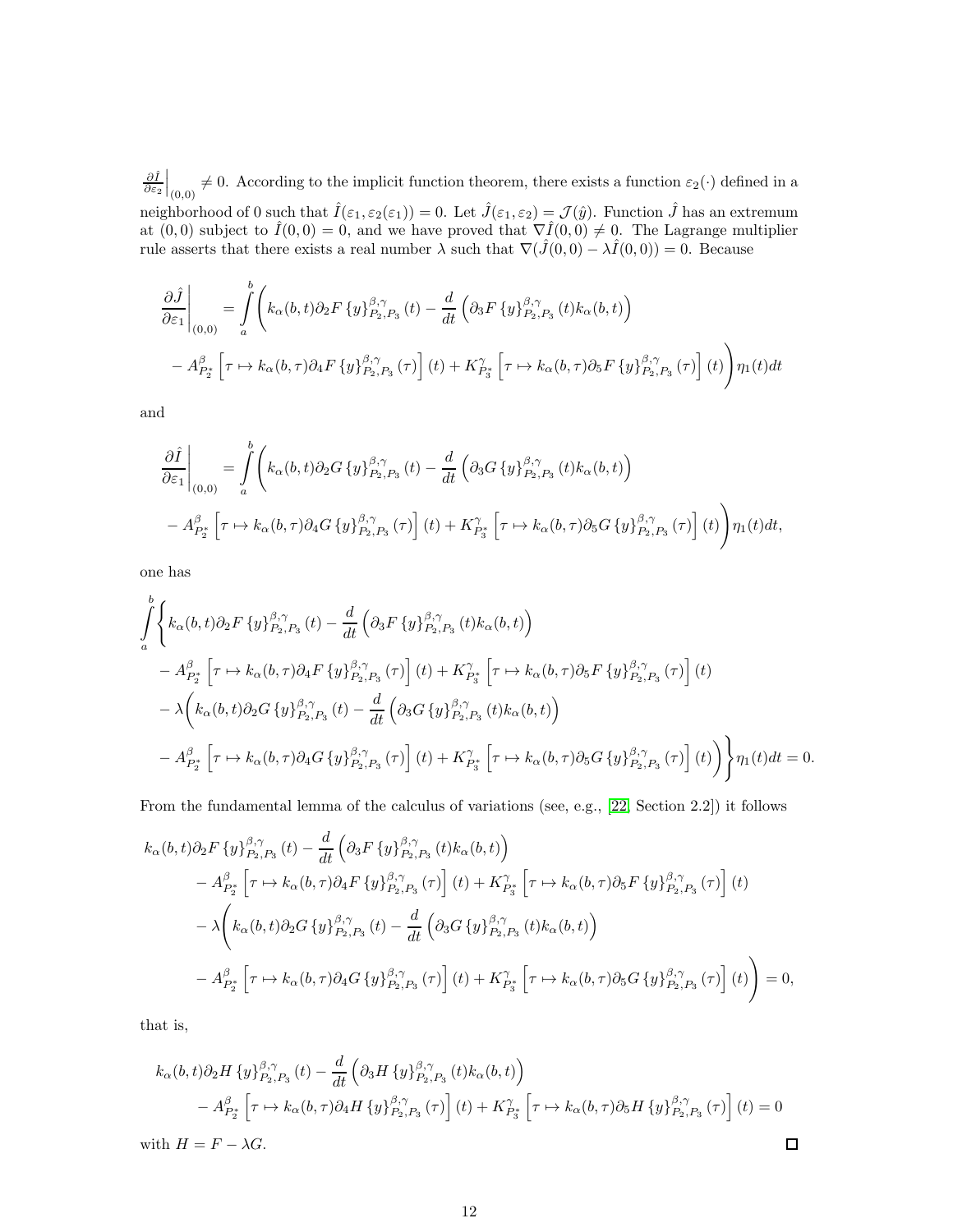$\frac{\partial \hat{I}}{\partial \varepsilon_2}$  $\Big|_{(0,0)} \neq 0$ . According to the implicit function theorem, there exists a function  $\varepsilon_2(\cdot)$  defined in a neighborhood of 0 such that  $\hat{I}(\varepsilon_1, \varepsilon_2(\varepsilon_1)) = 0$ . Let  $\hat{J}(\varepsilon_1, \varepsilon_2) = \mathcal{J}(\hat{y})$ . Function  $\hat{J}$  has an extremum at  $(0,0)$  subject to  $\hat{I}(0,0) = 0$ , and we have proved that  $\nabla \hat{I}(0,0) \neq 0$ . The Lagrange multiplier rule asserts that there exists a real number  $\lambda$  such that  $\nabla(\hat{J}(0,0) - \lambda \hat{I}(0,0)) = 0$ . Because

$$
\frac{\partial \hat{J}}{\partial \varepsilon_1}\Big|_{(0,0)} = \int_a^b \left( k_\alpha(b,t) \partial_2 F \left\{ y \right\}_{P_2,P_3}^{\beta,\gamma}(t) - \frac{d}{dt} \left( \partial_3 F \left\{ y \right\}_{P_2,P_3}^{\beta,\gamma}(t) k_\alpha(b,t) \right) \right.\left. - A_{P_2^*}^{\beta} \left[ \tau \mapsto k_\alpha(b,\tau) \partial_4 F \left\{ y \right\}_{P_2,P_3}^{\beta,\gamma}(\tau) \right] (t) + K_{P_3^*}^{\gamma} \left[ \tau \mapsto k_\alpha(b,\tau) \partial_5 F \left\{ y \right\}_{P_2,P_3}^{\beta,\gamma}(\tau) \right] (t) \right) \eta_1(t) dt
$$

and

$$
\frac{\partial \hat{I}}{\partial \varepsilon_1}\Big|_{(0,0)} = \int_a^b \left( k_\alpha(b,t) \partial_2 G \{y\}_{P_2,P_3}^{\beta,\gamma}(t) - \frac{d}{dt} \left( \partial_3 G \{y\}_{P_2,P_3}^{\beta,\gamma}(t) k_\alpha(b,t) \right) \right. \\
\left. - A_{P_2^*}^{\beta} \left[ \tau \mapsto k_\alpha(b,\tau) \partial_4 G \{y\}_{P_2,P_3}^{\beta,\gamma}(\tau) \right] (t) + K_{P_3^*}^{\gamma} \left[ \tau \mapsto k_\alpha(b,\tau) \partial_5 G \{y\}_{P_2,P_3}^{\beta,\gamma}(\tau) \right] (t) \right) \eta_1(t) dt,
$$

one has

$$
\int_{a}^{b} \left\{ k_{\alpha}(b,t) \partial_{2} F \left\{ y \right\}_{P_{2},P_{3}}^{\beta,\gamma}(t) - \frac{d}{dt} \left( \partial_{3} F \left\{ y \right\}_{P_{2},P_{3}}^{\beta,\gamma}(t) k_{\alpha}(b,t) \right) \right.\n- A_{P_{2}^{*}}^{\beta} \left[ \tau \mapsto k_{\alpha}(b,\tau) \partial_{4} F \left\{ y \right\}_{P_{2},P_{3}}^{\beta,\gamma}(\tau) \right] (t) + K_{P_{3}^{*}}^{\gamma} \left[ \tau \mapsto k_{\alpha}(b,\tau) \partial_{5} F \left\{ y \right\}_{P_{2},P_{3}}^{\beta,\gamma}(\tau) \right] (t) \right.\n- \lambda \left( k_{\alpha}(b,t) \partial_{2} G \left\{ y \right\}_{P_{2},P_{3}}^{\beta,\gamma}(t) - \frac{d}{dt} \left( \partial_{3} G \left\{ y \right\}_{P_{2},P_{3}}^{\beta,\gamma}(t) k_{\alpha}(b,t) \right) \right.\n- A_{P_{2}^{*}}^{\beta} \left[ \tau \mapsto k_{\alpha}(b,\tau) \partial_{4} G \left\{ y \right\}_{P_{2},P_{3}}^{\beta,\gamma}(\tau) \right] (t) + K_{P_{3}^{*}}^{\gamma} \left[ \tau \mapsto k_{\alpha}(b,\tau) \partial_{5} G \left\{ y \right\}_{P_{2},P_{3}}^{\beta,\gamma}(\tau) \right] (t) \right) \right\} \eta_{1}(t) dt = 0.
$$

From the fundamental lemma of the calculus of variations (see, e.g., [\[22,](#page-17-13) Section 2.2]) it follows

$$
k_{\alpha}(b,t)\partial_{2}F\left\{y\right\}_{P_{2},P_{3}}^{\beta,\gamma}(t) - \frac{d}{dt}\left(\partial_{3}F\left\{y\right\}_{P_{2},P_{3}}^{\beta,\gamma}(t)k_{\alpha}(b,t)\right) - A_{P_{2}^{*}}^{\beta}\left[\tau \mapsto k_{\alpha}(b,\tau)\partial_{4}F\left\{y\right\}_{P_{2},P_{3}}^{\beta,\gamma}(\tau)\right](t) + K_{P_{3}^{*}}^{\gamma}\left[\tau \mapsto k_{\alpha}(b,\tau)\partial_{5}F\left\{y\right\}_{P_{2},P_{3}}^{\beta,\gamma}(\tau)\right](t) - \lambda\left(k_{\alpha}(b,t)\partial_{2}G\left\{y\right\}_{P_{2},P_{3}}^{\beta,\gamma}(t) - \frac{d}{dt}\left(\partial_{3}G\left\{y\right\}_{P_{2},P_{3}}^{\beta,\gamma}(t)k_{\alpha}(b,t)\right) - A_{P_{2}^{*}}^{\beta}\left[\tau \mapsto k_{\alpha}(b,\tau)\partial_{4}G\left\{y\right\}_{P_{2},P_{3}}^{\beta,\gamma}(\tau)\right](t) + K_{P_{3}^{*}}^{\gamma}\left[\tau \mapsto k_{\alpha}(b,\tau)\partial_{5}G\left\{y\right\}_{P_{2},P_{3}}^{\beta,\gamma}(\tau)\right](t) \right) = 0,
$$

that is,

$$
k_{\alpha}(b,t)\partial_2 H \{y\}_{P_2,P_3}^{\beta,\gamma}(t) - \frac{d}{dt} \left(\partial_3 H \{y\}_{P_2,P_3}^{\beta,\gamma}(t) k_{\alpha}(b,t)\right)
$$
  

$$
- A_{P_2^*}^{\beta} \left[\tau \mapsto k_{\alpha}(b,\tau)\partial_4 H \{y\}_{P_2,P_3}^{\beta,\gamma}(\tau)\right](t) + K_{P_3^*}^{\gamma} \left[\tau \mapsto k_{\alpha}(b,\tau)\partial_5 H \{y\}_{P_2,P_3}^{\beta,\gamma}(\tau)\right](t) = 0
$$
  
with  $H = F - \lambda G$ .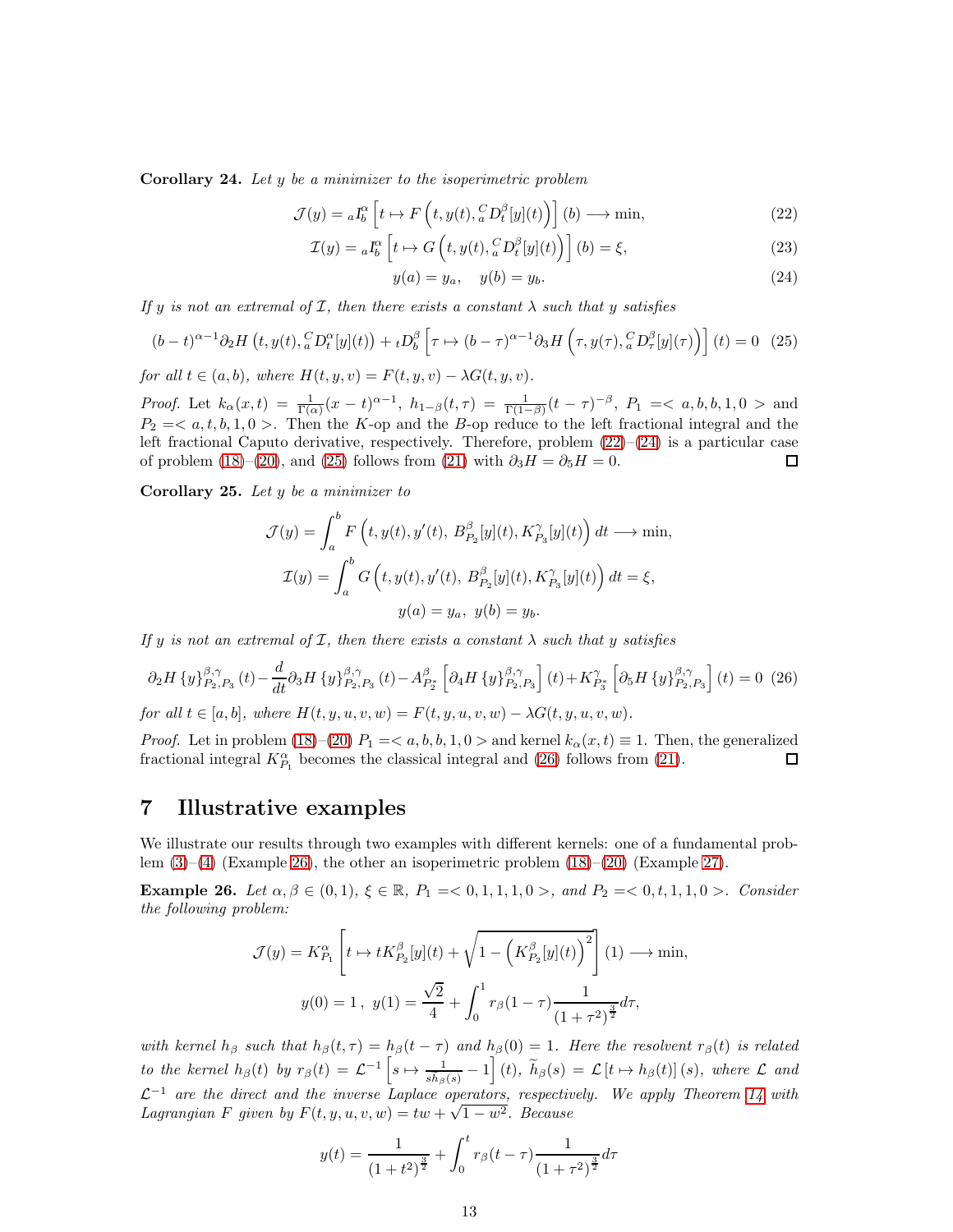Corollary 24. Let y be a minimizer to the isoperimetric problem

$$
\mathcal{J}(y) = {}_{a}I_{b}^{\alpha} \left[ t \mapsto F \left( t, y(t), {}_{a}^{C}D_{t}^{\beta}[y](t) \right) \right] (b) \longrightarrow \min, \tag{22}
$$

$$
\mathcal{I}(y) = {}_{a}I_{b}^{\alpha} \left[ t \mapsto G \left( t, y(t), {}_{a}^{C}D_{t}^{\beta}[y](t) \right) \right] (b) = \xi,
$$
\n(23)

<span id="page-12-2"></span><span id="page-12-1"></span> $y(a) = y_a, \quad y(b) = y_b.$  (24)

If y is not an extremal of  $I$ , then there exists a constant  $\lambda$  such that y satisfies

<span id="page-12-3"></span>
$$
(b-t)^{\alpha-1}\partial_2 H\left(t, y(t), {}_{a}^{C}D_t^{\alpha}[y](t)\right) + {}_{t}D_b^{\beta}\left[\tau \mapsto (b-\tau)^{\alpha-1}\partial_3 H\left(\tau, y(\tau), {}_{a}^{C}D_{\tau}^{\beta}[y](\tau)\right)\right](t) = 0 \quad (25)
$$

for all  $t \in (a, b)$ , where  $H(t, y, v) = F(t, y, v) - \lambda G(t, y, v)$ .

Proof. Let  $k_{\alpha}(x,t) = \frac{1}{\Gamma(\alpha)}(x-t)^{\alpha-1}$ ,  $h_{1-\beta}(t,\tau) = \frac{1}{\Gamma(1-\beta)}(t-\tau)^{-\beta}$ ,  $P_1 = \langle a,b,b,1,0 \rangle$  and  $P_2 = \langle a, t, b, 1, 0 \rangle$ . Then the K-op and the B-op reduce to the left fractional integral and the left fractional Caputo derivative, respectively. Therefore, problem  $(22)-(24)$  $(22)-(24)$  is a particular case of problem [\(18\)](#page-10-3)–[\(20\)](#page-10-4), and [\(25\)](#page-12-3) follows from [\(21\)](#page-10-5) with  $\partial_3 H = \partial_5 H = 0$ . □

Corollary 25. Let  $y$  be a minimizer to

$$
\mathcal{J}(y) = \int_a^b F\left(t, y(t), y'(t), B_{P_2}^{\beta}[y](t), K_{P_3}^{\gamma}[y](t)\right) dt \longrightarrow \min,
$$
  

$$
\mathcal{I}(y) = \int_a^b G\left(t, y(t), y'(t), B_{P_2}^{\beta}[y](t), K_{P_3}^{\gamma}[y](t)\right) dt = \xi,
$$
  

$$
y(a) = y_a, y(b) = y_b.
$$

If y is not an extremal of  $I$ , then there exists a constant  $\lambda$  such that y satisfies

<span id="page-12-4"></span>
$$
\partial_2 H \left\{ y \right\}_{P_2, P_3}^{\beta, \gamma}(t) - \frac{d}{dt} \partial_3 H \left\{ y \right\}_{P_2, P_3}^{\beta, \gamma}(t) - A_{P_2^*}^{\beta} \left[ \partial_4 H \left\{ y \right\}_{P_2, P_3}^{\beta, \gamma} \right] (t) + K_{P_3^*}^{\gamma} \left[ \partial_5 H \left\{ y \right\}_{P_2, P_3}^{\beta, \gamma} \right] (t) = 0 \tag{26}
$$

for all  $t \in [a, b]$ , where  $H(t, y, u, v, w) = F(t, y, u, v, w) - \lambda G(t, y, u, v, w)$ .

*Proof.* Let in problem [\(18\)](#page-10-3)–[\(20\)](#page-10-4)  $P_1 = \langle a, b, b, 1, 0 \rangle$  and kernel  $k_\alpha(x, t) \equiv 1$ . Then, the generalized fractional integral  $K_\beta^{\alpha}$ , becomes the classical integral and (26) follows from (21). fractional integral  $K_{P_1}^{\alpha}$  becomes the classical integral and [\(26\)](#page-12-4) follows from [\(21\)](#page-10-5).

### <span id="page-12-0"></span>7 Illustrative examples

We illustrate our results through two examples with different kernels: one of a fundamental problem [\(3\)](#page-6-2)–[\(4\)](#page-6-3) (Example [26\)](#page-12-5), the other an isoperimetric problem [\(18\)](#page-10-3)–[\(20\)](#page-10-4) (Example [27\)](#page-13-0).

<span id="page-12-5"></span>Example 26. Let  $\alpha, \beta \in (0, 1), \xi \in \mathbb{R}$ ,  $P_1 = <0, 1, 1, 1, 0>$ , and  $P_2 = <0, t, 1, 1, 0>$ . Consider the following problem:

$$
\mathcal{J}(y) = K_{P_1}^{\alpha} \left[ t \mapsto t K_{P_2}^{\beta} [y](t) + \sqrt{1 - \left( K_{P_2}^{\beta} [y](t) \right)^2} \right] (1) \longrightarrow \min,
$$
  

$$
y(0) = 1, \ y(1) = \frac{\sqrt{2}}{4} + \int_0^1 r_{\beta} (1 - \tau) \frac{1}{(1 + \tau^2)^{\frac{3}{2}}} d\tau,
$$

with kernel  $h_\beta$  such that  $h_\beta(t, \tau) = h_\beta(t - \tau)$  and  $h_\beta(0) = 1$ . Here the resolvent  $r_\beta(t)$  is related to the kernel  $h_{\beta}(t)$  by  $r_{\beta}(t) = \mathcal{L}^{-1}\left[s \mapsto \frac{1}{s\tilde{h}_{\beta}(s)} - 1\right](t)$ ,  $\tilde{h}_{\beta}(s) = \mathcal{L}\left[t \mapsto h_{\beta}(t)\right](s)$ , where  $\mathcal{L}$  and  $\mathcal{L}^{-1}$  are the direct and the inverse Laplace operators, respectively. We apply Theorem [14](#page-6-0) with Lagrangian F given by  $F(t, y, u, v, w) = tw + \sqrt{1 - w^2}$ . Because

$$
y(t) = \frac{1}{(1+t^2)^{\frac{3}{2}}} + \int_0^t r_\beta(t-\tau) \frac{1}{(1+\tau^2)^{\frac{3}{2}}}d\tau
$$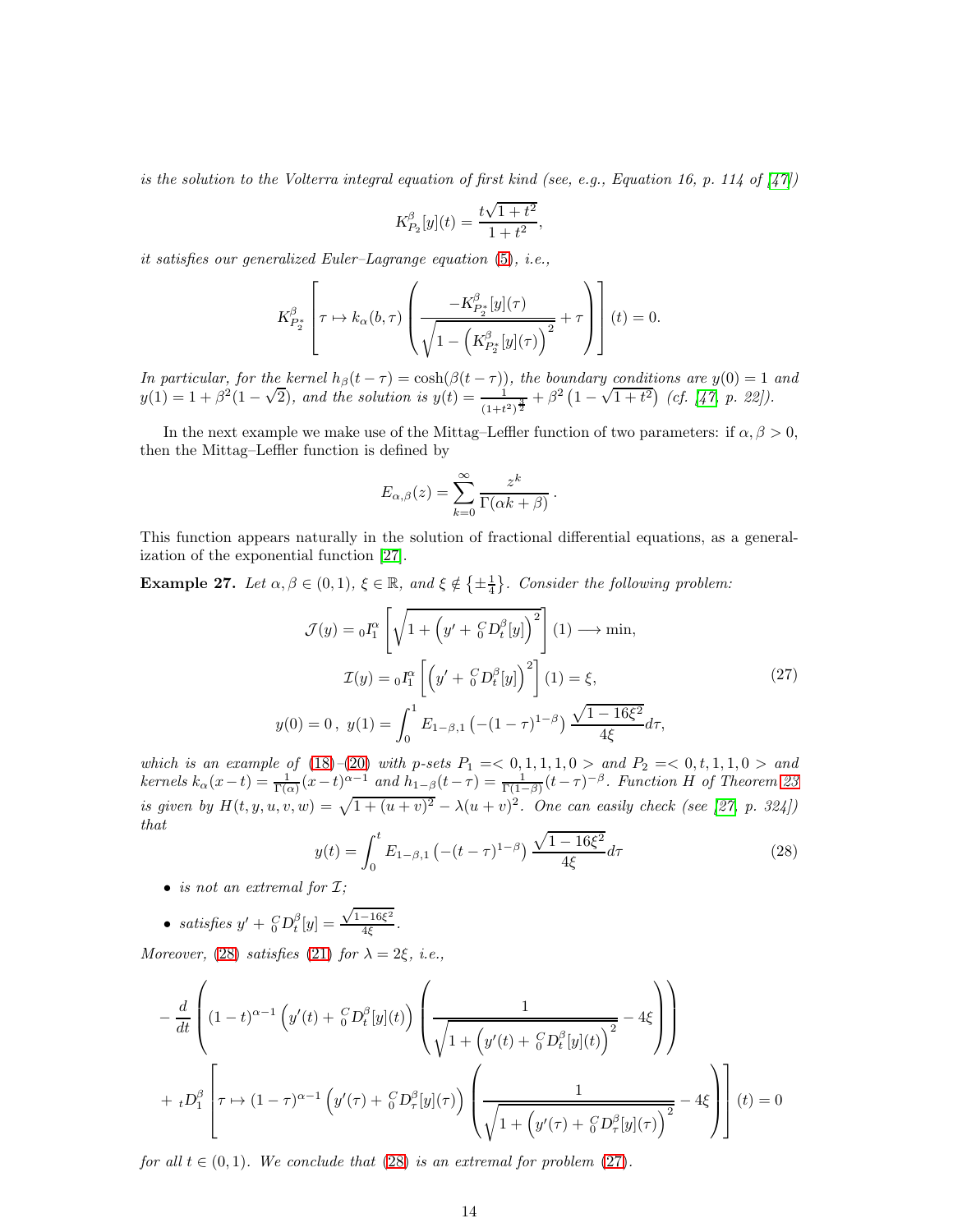is the solution to the Volterra integral equation of first kind (see, e.g., Equation 16, p. 114 of  $\left[47\right]$ )

$$
K_{P_2}^{\beta}[y](t) = \frac{t\sqrt{1+t^2}}{1+t^2},
$$

it satisfies our generalized Euler–Lagrange equation [\(5\)](#page-6-4), i.e.,

$$
K_{P_2^*}^{\beta} \left[ \tau \mapsto k_{\alpha}(b, \tau) \left( \frac{-K_{P_2^*}^{\beta}[y](\tau)}{\sqrt{1 - \left( K_{P_2^*}^{\beta}[y](\tau) \right)^2}} + \tau \right) \right] (t) = 0.
$$

In particular, for the kernel  $h_\beta(t-\tau) = \cosh(\beta(t-\tau))$ , the boundary conditions are  $y(0) = 1$  and  $y(1) = 1 + \beta^2(1-\sqrt{2})$ , and the solution is  $y(t) = \frac{1}{(1+t^2)^{\frac{3}{2}}} + \beta^2(1-\sqrt{1+t^2})$  (cf. [\[47,](#page-18-14) p. 22]).

In the next example we make use of the Mittag–Leffler function of two parameters: if  $\alpha, \beta > 0$ , then the Mittag–Leffler function is defined by

$$
E_{\alpha,\beta}(z) = \sum_{k=0}^{\infty} \frac{z^k}{\Gamma(\alpha k + \beta)}.
$$

This function appears naturally in the solution of fractional differential equations, as a generalization of the exponential function [\[27\]](#page-17-15).

<span id="page-13-0"></span>**Example 27.** Let  $\alpha, \beta \in (0, 1)$ ,  $\xi \in \mathbb{R}$ , and  $\xi \notin \{\pm \frac{1}{4}\}$ . Consider the following problem:

<span id="page-13-2"></span>
$$
\mathcal{J}(y) = {}_0I_1^{\alpha} \left[ \sqrt{1 + \left( y' + {}_0^C D_t^{\beta}[y] \right)^2} \right] (1) \longrightarrow \min, \n\mathcal{I}(y) = {}_0I_1^{\alpha} \left[ \left( y' + {}_0^C D_t^{\beta}[y] \right)^2 \right] (1) = \xi, \ny(0) = 0, \ y(1) = \int_0^1 E_{1-\beta,1} \left( -(1-\tau)^{1-\beta} \right) \frac{\sqrt{1-16\xi^2}}{4\xi} d\tau,
$$
\n(27)

which is an example of  $(18)–(20)$  $(18)–(20)$  $(18)–(20)$  with p-sets  $P_1 = 0, 1, 1, 1, 0 >$  and  $P_2 = 0, t, 1, 1, 0 >$  and kernels  $k_{\alpha}(x-t) = \frac{1}{\Gamma(\alpha)}(x-t)^{\alpha-1}$  and  $h_{1-\beta}(t-\tau) = \frac{1}{\Gamma(1-\beta)}(t-\tau)^{-\beta}$ . Function H of Theorem [23](#page-10-0) is given by  $H(t, y, u, v, w) = \sqrt{1 + (u + v)^2} - \lambda (u + v)^2$ . One can easily check (see [\[27,](#page-17-15) p. 324]) that

<span id="page-13-1"></span>
$$
y(t) = \int_0^t E_{1-\beta,1} \left( -(t-\tau)^{1-\beta} \right) \frac{\sqrt{1-16\xi^2}}{4\xi} d\tau \tag{28}
$$

- is not an extremal for  $\mathcal{I}$ ;
- satisfies  $y' + {}_0^C D_t^{\beta}[y] =$  $\sqrt{1-16\xi^2}$  $\frac{10\varsigma}{4\xi}$  .

Moreover, [\(28\)](#page-13-1) satisfies [\(21\)](#page-10-5) for  $\lambda = 2\xi$ , i.e.,

$$
-\frac{d}{dt}\left((1-t)^{\alpha-1}\left(y'(t)+\frac{C}{\theta}D_t^{\beta}[y](t)\right)\left(\frac{1}{\sqrt{1+\left(y'(t)+\frac{C}{\theta}D_t^{\beta}[y](t)\right)^2}}-4\xi\right)\right) +{}_{t}D_1^{\beta}\left[\tau\mapsto(1-\tau)^{\alpha-1}\left(y'(\tau)+\frac{C}{\theta}D_\tau^{\beta}[y](\tau)\right)\left(\frac{1}{\sqrt{1+\left(y'(\tau)+\frac{C}{\theta}D_\tau^{\beta}[y](\tau)\right)^2}}-4\xi\right)\right](t)=0
$$

for all  $t \in (0,1)$ . We conclude that  $(28)$  is an extremal for problem  $(27)$ .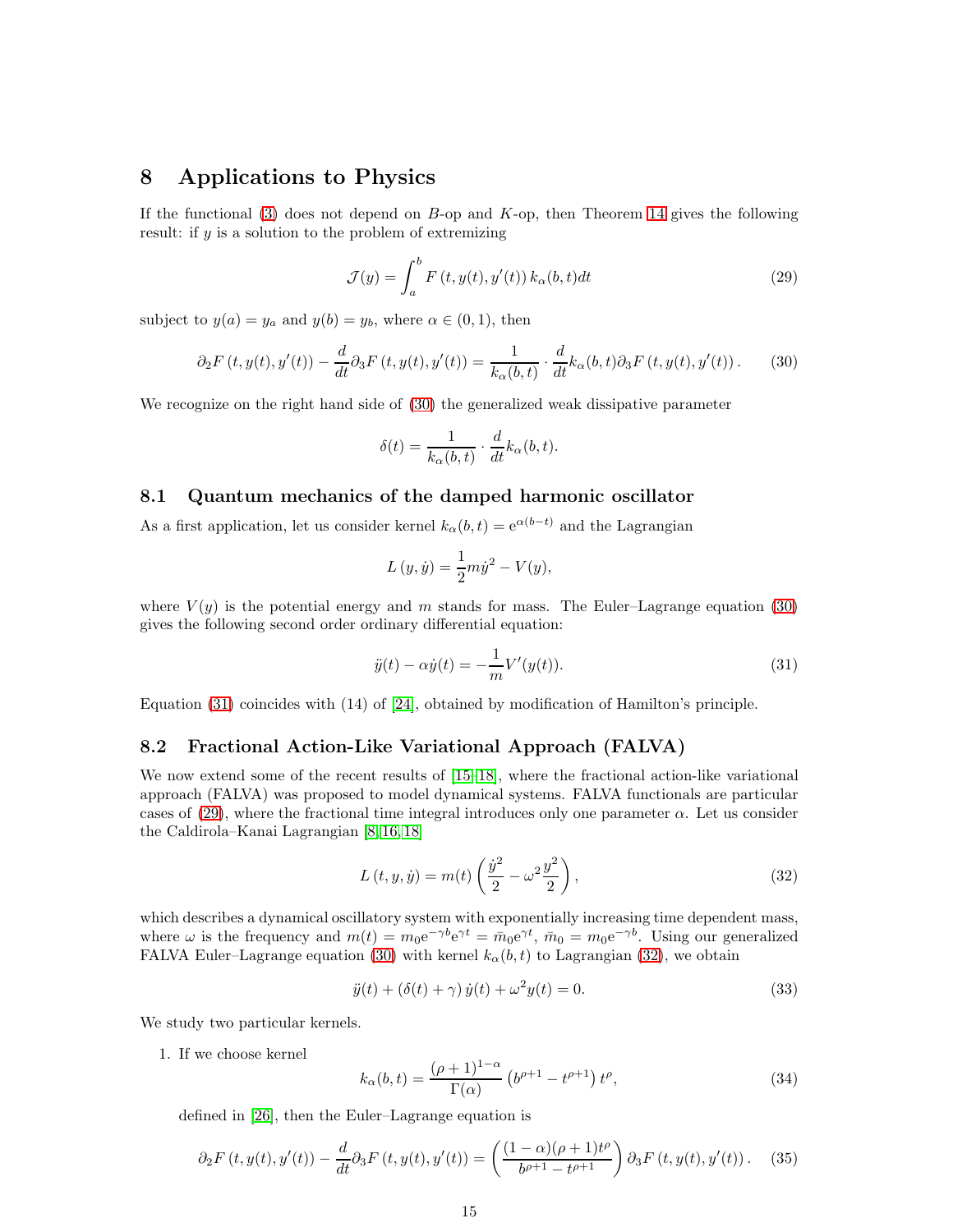#### <span id="page-14-0"></span>8 Applications to Physics

If the functional  $(3)$  does not depend on B-op and K-op, then Theorem [14](#page-6-0) gives the following result: if y is a solution to the problem of extremizing

<span id="page-14-5"></span>
$$
\mathcal{J}(y) = \int_{a}^{b} F(t, y(t), y'(t)) k_{\alpha}(b, t) dt
$$
\n(29)

subject to  $y(a) = y_a$  and  $y(b) = y_b$ , where  $\alpha \in (0, 1)$ , then

<span id="page-14-3"></span>
$$
\partial_2 F(t, y(t), y'(t)) - \frac{d}{dt} \partial_3 F(t, y(t), y'(t)) = \frac{1}{k_\alpha(b, t)} \cdot \frac{d}{dt} k_\alpha(b, t) \partial_3 F(t, y(t), y'(t)) \,. \tag{30}
$$

We recognize on the right hand side of [\(30\)](#page-14-3) the generalized weak dissipative parameter

$$
\delta(t) = \frac{1}{k_{\alpha}(b, t)} \cdot \frac{d}{dt} k_{\alpha}(b, t).
$$

#### <span id="page-14-1"></span>8.1 Quantum mechanics of the damped harmonic oscillator

As a first application, let us consider kernel  $k_{\alpha}(b, t) = e^{\alpha(b-t)}$  and the Lagrangian

$$
L(y, \dot{y}) = \frac{1}{2}m\dot{y}^{2} - V(y),
$$

where  $V(y)$  is the potential energy and m stands for mass. The Euler–Lagrange equation [\(30\)](#page-14-3) gives the following second order ordinary differential equation:

<span id="page-14-4"></span>
$$
\ddot{y}(t) - \alpha \dot{y}(t) = -\frac{1}{m} V'(y(t)).
$$
\n(31)

Equation [\(31\)](#page-14-4) coincides with (14) of [\[24\]](#page-17-10), obtained by modification of Hamilton's principle.

#### <span id="page-14-2"></span>8.2 Fractional Action-Like Variational Approach (FALVA)

We now extend some of the recent results of [\[15](#page-17-9)[–18\]](#page-17-8), where the fractional action-like variational approach (FALVA) was proposed to model dynamical systems. FALVA functionals are particular cases of [\(29\)](#page-14-5), where the fractional time integral introduces only one parameter  $\alpha$ . Let us consider the Caldirola–Kanai Lagrangian [\[8,](#page-16-6) [16,](#page-17-16) [18\]](#page-17-8)

<span id="page-14-6"></span>
$$
L(t, y, \dot{y}) = m(t) \left(\frac{\dot{y}^2}{2} - \omega^2 \frac{y^2}{2}\right),\tag{32}
$$

which describes a dynamical oscillatory system with exponentially increasing time dependent mass, where  $\omega$  is the frequency and  $m(t) = m_0 e^{-\gamma b} e^{\gamma t} = \bar{m}_0 e^{\gamma t}$ ,  $\bar{m}_0 = m_0 e^{-\gamma b}$ . Using our generalized FALVA Euler–Lagrange equation [\(30\)](#page-14-3) with kernel  $k_{\alpha}(b, t)$  to Lagrangian [\(32\)](#page-14-6), we obtain

<span id="page-14-9"></span>
$$
\ddot{y}(t) + (\delta(t) + \gamma) \dot{y}(t) + \omega^2 y(t) = 0.
$$
\n(33)

We study two particular kernels.

1. If we choose kernel

<span id="page-14-7"></span>
$$
k_{\alpha}(b, t) = \frac{(\rho + 1)^{1-\alpha}}{\Gamma(\alpha)} \left( b^{\rho+1} - t^{\rho+1} \right) t^{\rho},\tag{34}
$$

defined in [\[26\]](#page-17-17), then the Euler–Lagrange equation is

<span id="page-14-8"></span>
$$
\partial_2 F(t, y(t), y'(t)) - \frac{d}{dt} \partial_3 F(t, y(t), y'(t)) = \left( \frac{(1 - \alpha)(\rho + 1)t^{\rho}}{b^{\rho + 1} - t^{\rho + 1}} \right) \partial_3 F(t, y(t), y'(t)). \tag{35}
$$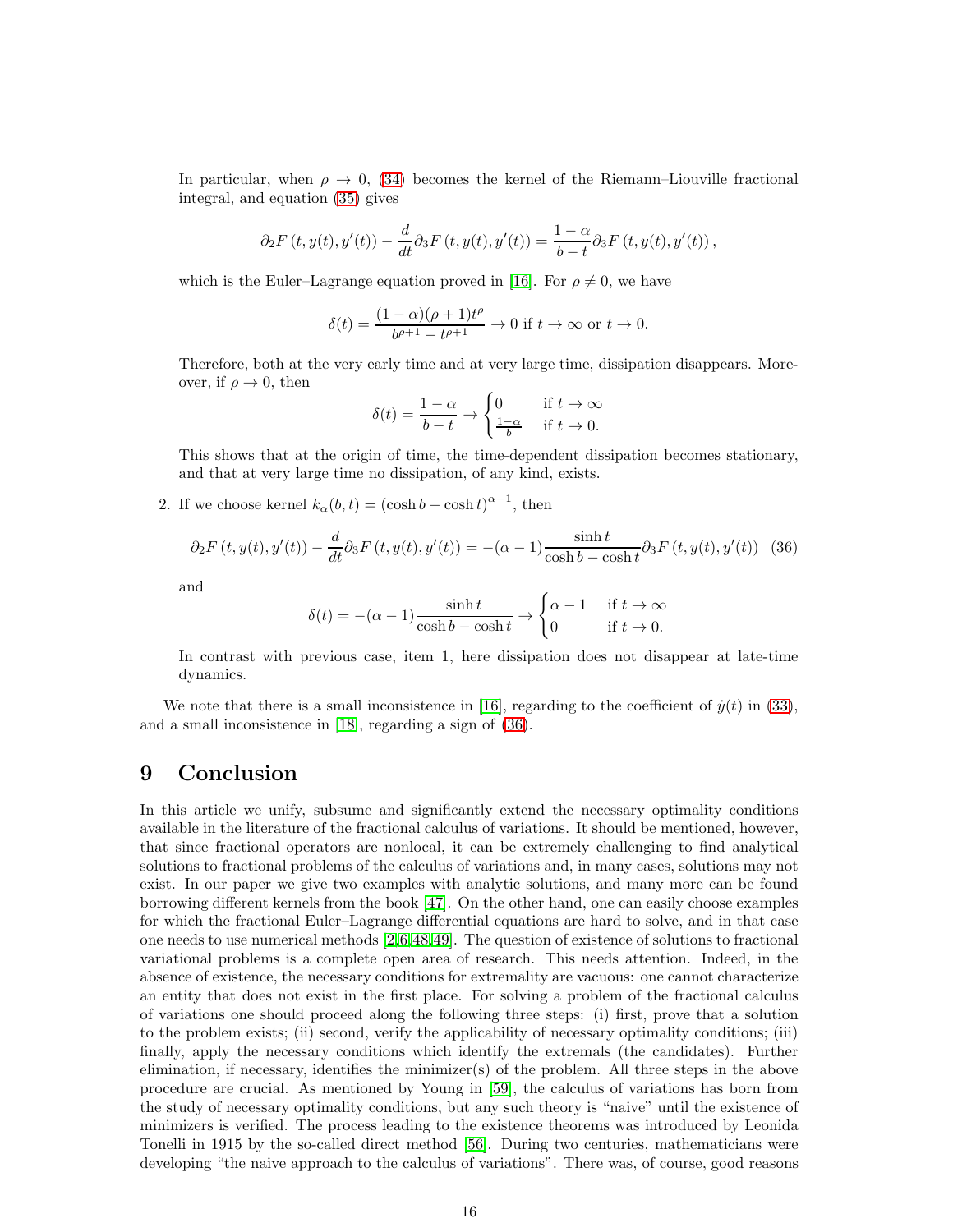In particular, when  $\rho \rightarrow 0$ , [\(34\)](#page-14-7) becomes the kernel of the Riemann–Liouville fractional integral, and equation [\(35\)](#page-14-8) gives

$$
\partial_2 F(t, y(t), y'(t)) - \frac{d}{dt} \partial_3 F(t, y(t), y'(t)) = \frac{1 - \alpha}{b - t} \partial_3 F(t, y(t), y'(t)),
$$

which is the Euler–Lagrange equation proved in [\[16\]](#page-17-16). For  $\rho \neq 0$ , we have

$$
\delta(t) = \frac{(1-\alpha)(\rho+1)t^{\rho}}{b^{\rho+1} - t^{\rho+1}} \to 0 \text{ if } t \to \infty \text{ or } t \to 0.
$$

Therefore, both at the very early time and at very large time, dissipation disappears. Moreover, if  $\rho \to 0$ , then

$$
\delta(t) = \frac{1-\alpha}{b-t} \to \begin{cases} 0 & \text{if } t \to \infty \\ \frac{1-\alpha}{b} & \text{if } t \to 0. \end{cases}
$$

This shows that at the origin of time, the time-dependent dissipation becomes stationary, and that at very large time no dissipation, of any kind, exists.

2. If we choose kernel  $k_{\alpha}(b, t) = (\cosh b - \cosh t)^{\alpha - 1}$ , then

<span id="page-15-1"></span>
$$
\partial_2 F\left(t, y(t), y'(t)\right) - \frac{d}{dt} \partial_3 F\left(t, y(t), y'(t)\right) = -(\alpha - 1) \frac{\sinh t}{\cosh b - \cosh t} \partial_3 F\left(t, y(t), y'(t)\right) \tag{36}
$$

and

$$
\delta(t) = -(\alpha - 1) \frac{\sinh t}{\cosh b - \cosh t} \to \begin{cases} \alpha - 1 & \text{if } t \to \infty \\ 0 & \text{if } t \to 0. \end{cases}
$$

In contrast with previous case, item 1, here dissipation does not disappear at late-time dynamics.

We note that there is a small inconsistence in [\[16\]](#page-17-16), regarding to the coefficient of  $\dot{y}(t)$  in [\(33\)](#page-14-9), and a small inconsistence in [\[18\]](#page-17-8), regarding a sign of [\(36\)](#page-15-1).

### <span id="page-15-0"></span>9 Conclusion

In this article we unify, subsume and significantly extend the necessary optimality conditions available in the literature of the fractional calculus of variations. It should be mentioned, however, that since fractional operators are nonlocal, it can be extremely challenging to find analytical solutions to fractional problems of the calculus of variations and, in many cases, solutions may not exist. In our paper we give two examples with analytic solutions, and many more can be found borrowing different kernels from the book [\[47\]](#page-18-14). On the other hand, one can easily choose examples for which the fractional Euler–Lagrange differential equations are hard to solve, and in that case one needs to use numerical methods [\[2,](#page-16-9)[6,](#page-16-10)[48,](#page-18-15)[49\]](#page-18-16). The question of existence of solutions to fractional variational problems is a complete open area of research. This needs attention. Indeed, in the absence of existence, the necessary conditions for extremality are vacuous: one cannot characterize an entity that does not exist in the first place. For solving a problem of the fractional calculus of variations one should proceed along the following three steps: (i) first, prove that a solution to the problem exists; (ii) second, verify the applicability of necessary optimality conditions; (iii) finally, apply the necessary conditions which identify the extremals (the candidates). Further elimination, if necessary, identifies the minimizer(s) of the problem. All three steps in the above procedure are crucial. As mentioned by Young in [\[59\]](#page-19-9), the calculus of variations has born from the study of necessary optimality conditions, but any such theory is "naive" until the existence of minimizers is verified. The process leading to the existence theorems was introduced by Leonida Tonelli in 1915 by the so-called direct method [\[56\]](#page-19-10). During two centuries, mathematicians were developing "the naive approach to the calculus of variations". There was, of course, good reasons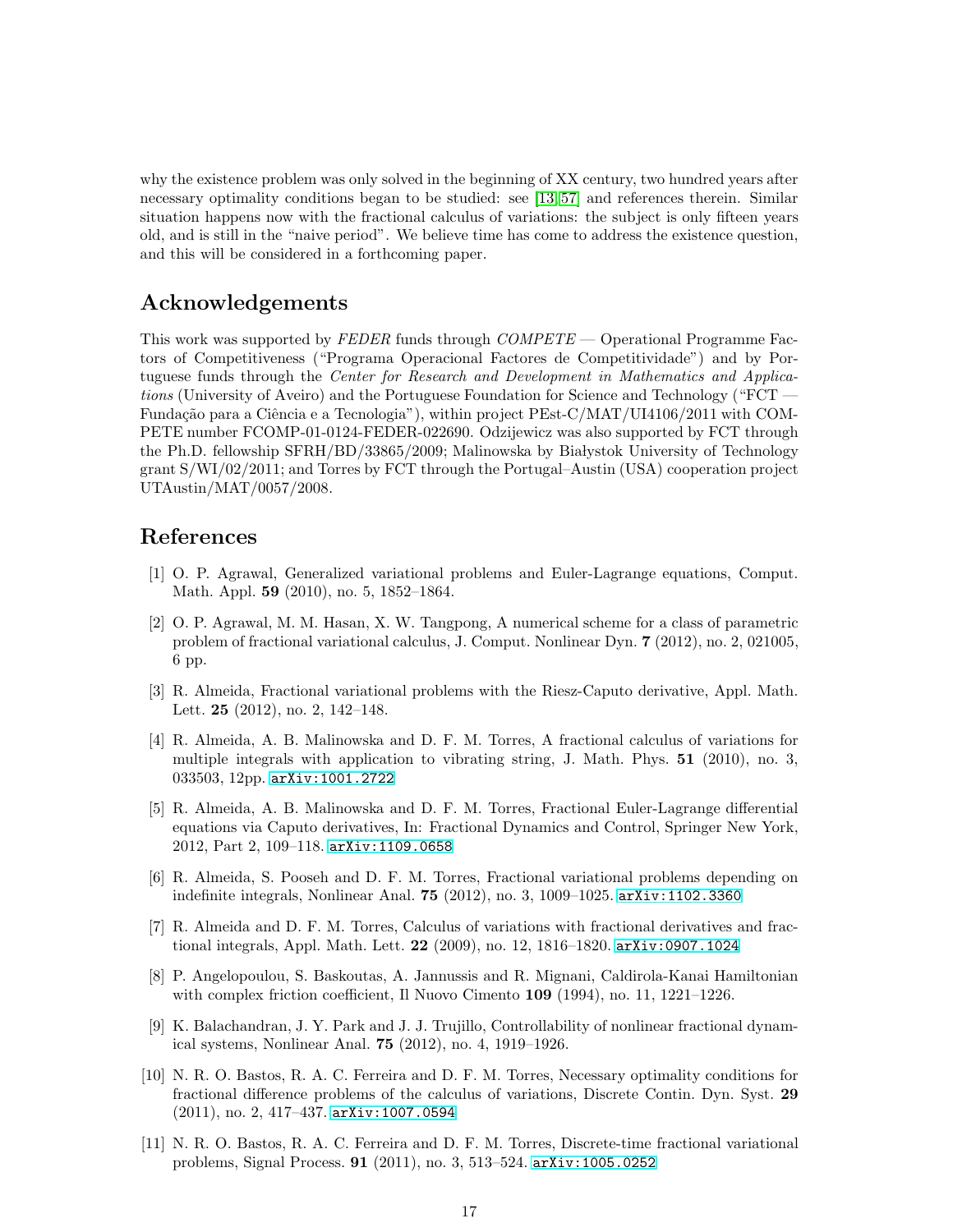why the existence problem was only solved in the beginning of XX century, two hundred years after necessary optimality conditions began to be studied: see [\[13,](#page-17-18) [57\]](#page-19-11) and references therein. Similar situation happens now with the fractional calculus of variations: the subject is only fifteen years old, and is still in the "naive period". We believe time has come to address the existence question, and this will be considered in a forthcoming paper.

# Acknowledgements

This work was supported by FEDER funds through COMPETE — Operational Programme Factors of Competitiveness ("Programa Operacional Factores de Competitividade") and by Portuguese funds through the Center for Research and Development in Mathematics and Applications (University of Aveiro) and the Portuguese Foundation for Science and Technology ("FCT — Fundação para a Ciência e a Tecnologia"), within project PEst-C/MAT/UI4106/2011 with COM-PETE number FCOMP-01-0124-FEDER-022690. Odzijewicz was also supported by FCT through the Ph.D. fellowship  $SFRH/BD/33865/2009$ ; Malinowska by Białystok University of Technology grant S/WI/02/2011; and Torres by FCT through the Portugal–Austin (USA) cooperation project UTAustin/MAT/0057/2008.

## <span id="page-16-5"></span>References

- [1] O. P. Agrawal, Generalized variational problems and Euler-Lagrange equations, Comput. Math. Appl. 59 (2010), no. 5, 1852–1864.
- <span id="page-16-9"></span>[2] O. P. Agrawal, M. M. Hasan, X. W. Tangpong, A numerical scheme for a class of parametric problem of fractional variational calculus, J. Comput. Nonlinear Dyn. 7 (2012), no. 2, 021005, 6 pp.
- <span id="page-16-1"></span>[3] R. Almeida, Fractional variational problems with the Riesz-Caputo derivative, Appl. Math. Lett. 25 (2012), no. 2, 142–148.
- <span id="page-16-2"></span>[4] R. Almeida, A. B. Malinowska and D. F. M. Torres, A fractional calculus of variations for multiple integrals with application to vibrating string, J. Math. Phys. 51 (2010), no. 3, 033503, 12pp. [arXiv:1001.2722](http://arxiv.org/abs/1001.2722)
- <span id="page-16-7"></span>[5] R. Almeida, A. B. Malinowska and D. F. M. Torres, Fractional Euler-Lagrange differential equations via Caputo derivatives, In: Fractional Dynamics and Control, Springer New York, 2012, Part 2, 109–118. [arXiv:1109.0658](http://arxiv.org/abs/1109.0658)
- <span id="page-16-10"></span>[6] R. Almeida, S. Pooseh and D. F. M. Torres, Fractional variational problems depending on indefinite integrals, Nonlinear Anal. 75 (2012), no. 3, 1009–1025. [arXiv:1102.3360](http://arxiv.org/abs/1102.3360)
- <span id="page-16-8"></span>[7] R. Almeida and D. F. M. Torres, Calculus of variations with fractional derivatives and fractional integrals, Appl. Math. Lett. 22 (2009), no. 12, 1816–1820. [arXiv:0907.1024](http://arxiv.org/abs/0907.1024)
- <span id="page-16-6"></span>[8] P. Angelopoulou, S. Baskoutas, A. Jannussis and R. Mignani, Caldirola-Kanai Hamiltonian with complex friction coefficient, Il Nuovo Cimento 109 (1994), no. 11, 1221–1226.
- <span id="page-16-0"></span>[9] K. Balachandran, J. Y. Park and J. J. Trujillo, Controllability of nonlinear fractional dynamical systems, Nonlinear Anal. 75 (2012), no. 4, 1919–1926.
- <span id="page-16-3"></span>[10] N. R. O. Bastos, R. A. C. Ferreira and D. F. M. Torres, Necessary optimality conditions for fractional difference problems of the calculus of variations, Discrete Contin. Dyn. Syst. 29 (2011), no. 2, 417–437. [arXiv:1007.0594](http://arxiv.org/abs/1007.0594)
- <span id="page-16-4"></span>[11] N. R. O. Bastos, R. A. C. Ferreira and D. F. M. Torres, Discrete-time fractional variational problems, Signal Process. 91 (2011), no. 3, 513–524. [arXiv:1005.0252](http://arxiv.org/abs/1005.0252)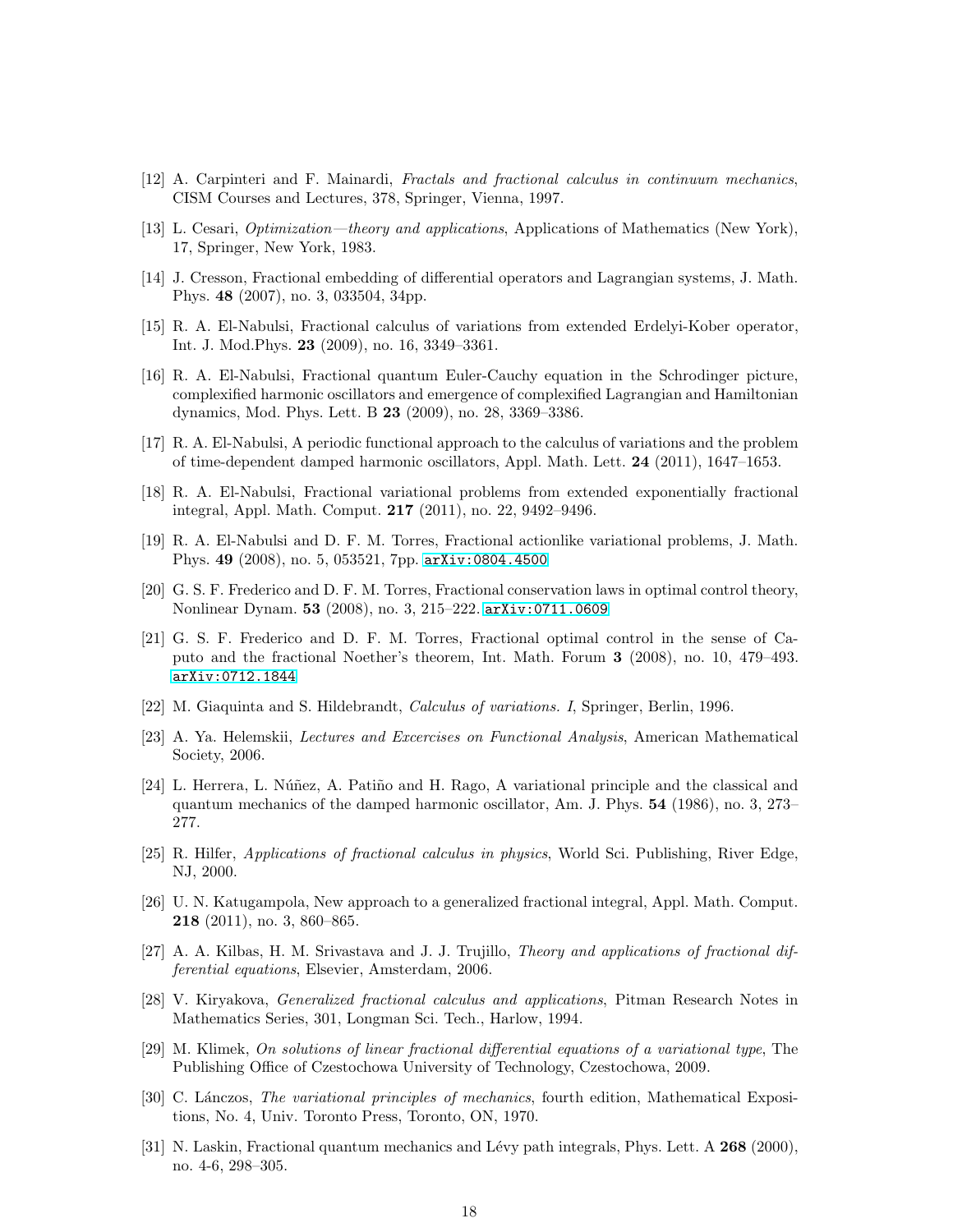- <span id="page-17-18"></span><span id="page-17-0"></span>[12] A. Carpinteri and F. Mainardi, Fractals and fractional calculus in continuum mechanics, CISM Courses and Lectures, 378, Springer, Vienna, 1997.
- <span id="page-17-4"></span>[13] L. Cesari, Optimization—theory and applications, Applications of Mathematics (New York), 17, Springer, New York, 1983.
- <span id="page-17-9"></span>[14] J. Cresson, Fractional embedding of differential operators and Lagrangian systems, J. Math. Phys. 48 (2007), no. 3, 033504, 34pp.
- [15] R. A. El-Nabulsi, Fractional calculus of variations from extended Erdelyi-Kober operator, Int. J. Mod.Phys. 23 (2009), no. 16, 3349–3361.
- <span id="page-17-16"></span>[16] R. A. El-Nabulsi, Fractional quantum Euler-Cauchy equation in the Schrodinger picture, complexified harmonic oscillators and emergence of complexified Lagrangian and Hamiltonian dynamics, Mod. Phys. Lett. B 23 (2009), no. 28, 3369–3386.
- [17] R. A. El-Nabulsi, A periodic functional approach to the calculus of variations and the problem of time-dependent damped harmonic oscillators, Appl. Math. Lett. 24 (2011), 1647–1653.
- <span id="page-17-8"></span>[18] R. A. El-Nabulsi, Fractional variational problems from extended exponentially fractional integral, Appl. Math. Comput. 217 (2011), no. 22, 9492–9496.
- <span id="page-17-5"></span>[19] R. A. El-Nabulsi and D. F. M. Torres, Fractional actionlike variational problems, J. Math. Phys. 49 (2008), no. 5, 053521, 7pp. [arXiv:0804.4500](http://arxiv.org/abs/0804.4500)
- <span id="page-17-6"></span>[20] G. S. F. Frederico and D. F. M. Torres, Fractional conservation laws in optimal control theory, Nonlinear Dynam. 53 (2008), no. 3, 215–222. [arXiv:0711.0609](http://arxiv.org/abs/0711.0609)
- <span id="page-17-14"></span>[21] G. S. F. Frederico and D. F. M. Torres, Fractional optimal control in the sense of Caputo and the fractional Noether's theorem, Int. Math. Forum 3 (2008), no. 10, 479–493. [arXiv:0712.1844](http://arxiv.org/abs/0712.1844)
- <span id="page-17-13"></span><span id="page-17-11"></span>[22] M. Giaquinta and S. Hildebrandt, Calculus of variations. I, Springer, Berlin, 1996.
- [23] A. Ya. Helemskii, Lectures and Excercises on Functional Analysis, American Mathematical Society, 2006.
- <span id="page-17-10"></span>[24] L. Herrera, L. Núñez, A. Patiño and H. Rago, A variational principle and the classical and quantum mechanics of the damped harmonic oscillator, Am. J. Phys. 54 (1986), no. 3, 273– 277.
- <span id="page-17-1"></span>[25] R. Hilfer, Applications of fractional calculus in physics, World Sci. Publishing, River Edge, NJ, 2000.
- <span id="page-17-17"></span>[26] U. N. Katugampola, New approach to a generalized fractional integral, Appl. Math. Comput. 218 (2011), no. 3, 860–865.
- <span id="page-17-15"></span>[27] A. A. Kilbas, H. M. Srivastava and J. J. Trujillo, Theory and applications of fractional differential equations, Elsevier, Amsterdam, 2006.
- <span id="page-17-7"></span>[28] V. Kiryakova, Generalized fractional calculus and applications, Pitman Research Notes in Mathematics Series, 301, Longman Sci. Tech., Harlow, 1994.
- <span id="page-17-12"></span>[29] M. Klimek, On solutions of linear fractional differential equations of a variational type, The Publishing Office of Czestochowa University of Technology, Czestochowa, 2009.
- <span id="page-17-3"></span>[30] C. Lánczos, *The variational principles of mechanics*, fourth edition, Mathematical Expositions, No. 4, Univ. Toronto Press, Toronto, ON, 1970.
- <span id="page-17-2"></span>[31] N. Laskin, Fractional quantum mechanics and Lévy path integrals, Phys. Lett. A 268 (2000), no. 4-6, 298–305.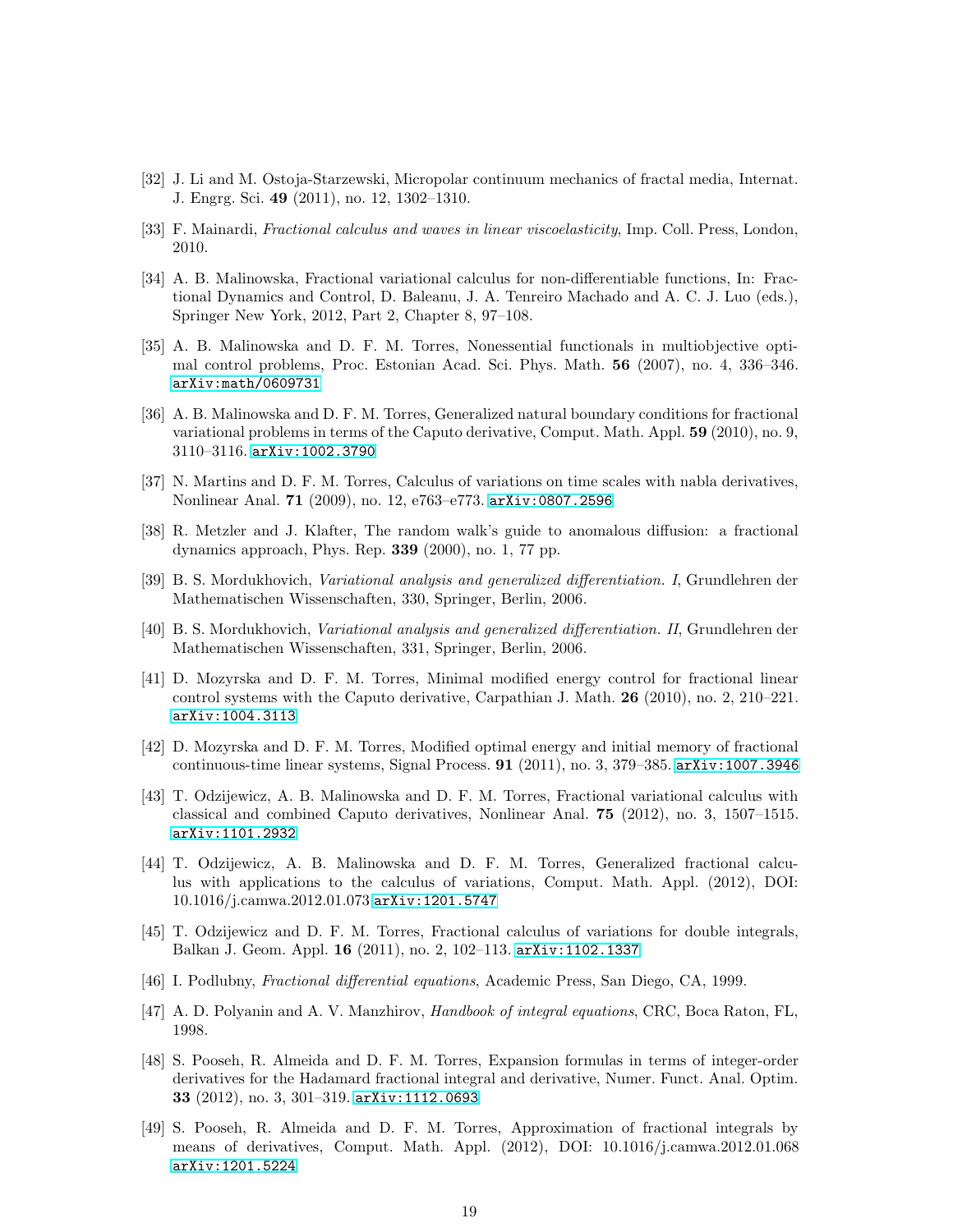- <span id="page-18-8"></span><span id="page-18-7"></span>[32] J. Li and M. Ostoja-Starzewski, Micropolar continuum mechanics of fractal media, Internat. J. Engrg. Sci. 49 (2011), no. 12, 1302–1310.
- <span id="page-18-9"></span>[33] F. Mainardi, Fractional calculus and waves in linear viscoelasticity, Imp. Coll. Press, London, 2010.
- [34] A. B. Malinowska, Fractional variational calculus for non-differentiable functions, In: Fractional Dynamics and Control, D. Baleanu, J. A. Tenreiro Machado and A. C. J. Luo (eds.), Springer New York, 2012, Part 2, Chapter 8, 97–108.
- <span id="page-18-2"></span>[35] A. B. Malinowska and D. F. M. Torres, Nonessential functionals in multiobjective optimal control problems, Proc. Estonian Acad. Sci. Phys. Math. 56 (2007), no. 4, 336–346. [arXiv:math/0609731](http://arxiv.org/abs/math/0609731)
- <span id="page-18-10"></span>[36] A. B. Malinowska and D. F. M. Torres, Generalized natural boundary conditions for fractional variational problems in terms of the Caputo derivative, Comput. Math. Appl. 59 (2010), no. 9, 3110–3116. [arXiv:1002.3790](http://arxiv.org/abs/1002.3790)
- <span id="page-18-3"></span>[37] N. Martins and D. F. M. Torres, Calculus of variations on time scales with nabla derivatives, Nonlinear Anal. 71 (2009), no. 12, e763–e773. [arXiv:0807.2596](http://arxiv.org/abs/0807.2596)
- <span id="page-18-6"></span>[38] R. Metzler and J. Klafter, The random walk's guide to anomalous diffusion: a fractional dynamics approach, Phys. Rep. 339 (2000), no. 1, 77 pp.
- <span id="page-18-1"></span><span id="page-18-0"></span>[39] B. S. Mordukhovich, Variational analysis and generalized differentiation. I, Grundlehren der Mathematischen Wissenschaften, 330, Springer, Berlin, 2006.
- [40] B. S. Mordukhovich, Variational analysis and generalized differentiation. II, Grundlehren der Mathematischen Wissenschaften, 331, Springer, Berlin, 2006.
- <span id="page-18-11"></span>[41] D. Mozyrska and D. F. M. Torres, Minimal modified energy control for fractional linear control systems with the Caputo derivative, Carpathian J. Math. 26 (2010), no. 2, 210–221. [arXiv:1004.3113](http://arxiv.org/abs/1004.3113)
- [42] D. Mozyrska and D. F. M. Torres, Modified optimal energy and initial memory of fractional continuous-time linear systems, Signal Process. 91 (2011), no. 3, 379–385. [arXiv:1007.3946](http://arxiv.org/abs/1007.3946)
- <span id="page-18-12"></span>[43] T. Odzijewicz, A. B. Malinowska and D. F. M. Torres, Fractional variational calculus with classical and combined Caputo derivatives, Nonlinear Anal. 75 (2012), no. 3, 1507–1515. [arXiv:1101.2932](http://arxiv.org/abs/1101.2932)
- <span id="page-18-13"></span>[44] T. Odzijewicz, A. B. Malinowska and D. F. M. Torres, Generalized fractional calculus with applications to the calculus of variations, Comput. Math. Appl. (2012), DOI: 10.1016/j.camwa.2012.01.073 [arXiv:1201.5747](http://arxiv.org/abs/1201.5747)
- <span id="page-18-4"></span>[45] T. Odzijewicz and D. F. M. Torres, Fractional calculus of variations for double integrals, Balkan J. Geom. Appl. 16 (2011), no. 2, 102–113. [arXiv:1102.1337](http://arxiv.org/abs/1102.1337)
- <span id="page-18-14"></span><span id="page-18-5"></span>[46] I. Podlubny, Fractional differential equations, Academic Press, San Diego, CA, 1999.
- <span id="page-18-15"></span>[47] A. D. Polyanin and A. V. Manzhirov, Handbook of integral equations, CRC, Boca Raton, FL, 1998.
- [48] S. Pooseh, R. Almeida and D. F. M. Torres, Expansion formulas in terms of integer-order derivatives for the Hadamard fractional integral and derivative, Numer. Funct. Anal. Optim. 33 (2012), no. 3, 301–319. [arXiv:1112.0693](http://arxiv.org/abs/1112.0693)
- <span id="page-18-16"></span>[49] S. Pooseh, R. Almeida and D. F. M. Torres, Approximation of fractional integrals by means of derivatives, Comput. Math. Appl. (2012), DOI: 10.1016/j.camwa.2012.01.068 [arXiv:1201.5224](http://arxiv.org/abs/1201.5224)